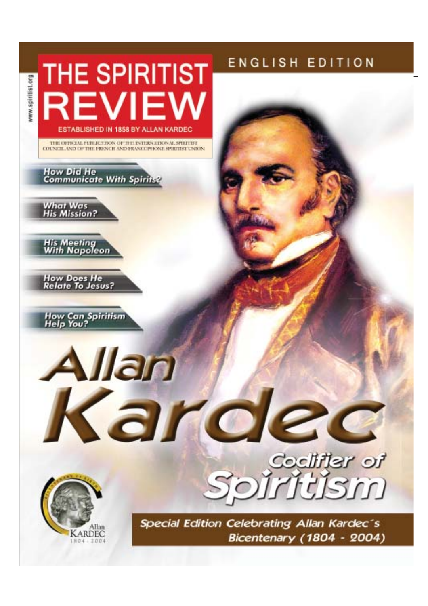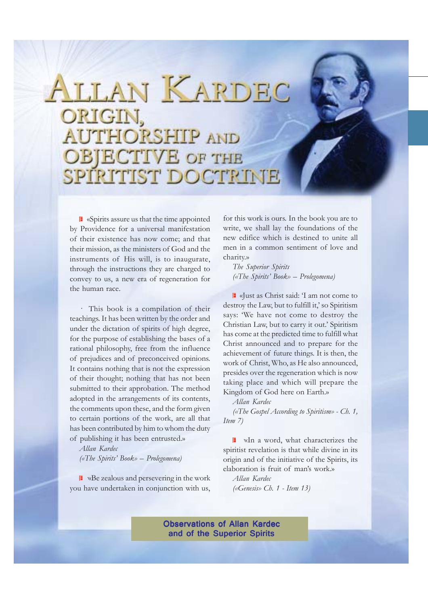# ALLAN KARDEC ORIGIN, **AUTHORSHIP AND OBJECTIVE OF THE<br>SPIRITIST DOCTRINE**

 «Spirits assure us that the time appointed by Providence for a universal manifestation of their existence has now come; and that their mission, as the ministers of God and the instruments of His will, is to inaugurate, through the instructions they are charged to convey to us, a new era of regeneration for the human race.

· This book is a compilation of their teachings. It has been written by the order and under the dictation of spirits of high degree, for the purpose of establishing the bases of a rational philosophy, free from the influence of prejudices and of preconceived opinions. It contains nothing that is not the expression of their thought; nothing that has not been submitted to their approbation. The method adopted in the arrangements of its contents, the comments upon these, and the form given to certain portions of the work, are all that has been contributed by him to whom the duty of publishing it has been entrusted.»

*Allan Kardec («The Spirits' Book» – Prolegomena)*

**E** «Be zealous and persevering in the work you have undertaken in conjunction with us, for this work is ours. In the book you are to write, we shall lay the foundations of the new edifice which is destined to unite all men in a common sentiment of love and charity.»

*The Superior Spirits («The Spirits' Book» – Prolegomena)*

 «Just as Christ said: 'I am not come to destroy the Law, but to fulfill it,' so Spiritism says: 'We have not come to destroy the Christian Law, but to carry it out.' Spiritism has come at the predicted time to fulfill what Christ announced and to prepare for the achievement of future things. It is then, the work of Christ, Who, as He also announced, presides over the regeneration which is now taking place and which will prepare the Kingdom of God here on Earth.»

#### *Allan Kardec*

*(«The Gospel According to Spiritism» - Ch. 1, Item 7)*

**E** «In a word, what characterizes the spiritist revelation is that while divine in its origin and of the initiative of the Spirits, its elaboration is fruit of man's work.»

*Allan Kardec («Genesis» Ch. 1 - Item 13)*

#### Observations of Allan Kardec and of the Superior Spirits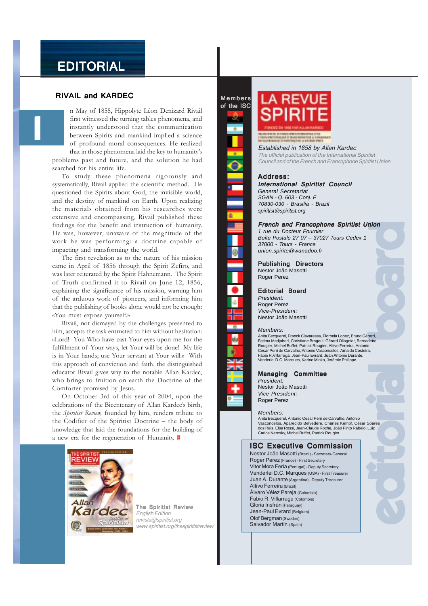## **EDITORIAL**

I<br>I

#### RIVAIL and KARDEC

n May of 1855, Hippolyte Léon Denizard Rivail first witnessed the turning tables phenomena, and instantly understood that the communication between Spirits and mankind implied a science of profound moral consequences. He realized

that in those phenomena laid the key to humanity's problems past and future, and the solution he had searched for his entire life.

To study these phenomena rigorously and systematically, Rivail applied the scientific method. He questioned the Spirits about God, the invisible world, and the destiny of mankind on Earth. Upon realizing the materials obtained from his researches were extensive and encompassing, Rivail published these findings for the benefit and instruction of humanity. He was, however, unaware of the magnitude of the work he was performing: a doctrine capable of impacting and transforming the world.

The first revelation as to the nature of his mission came in April of 1856 through the Spirit Zefiro, and was later reiterated by the Spirit Hahnemann. The Spirit of Truth confirmed it to Rivail on June 12, 1856, explaining the significance of his mission, warning him of the arduous work of pioneers, and informing him that the publishing of books alone would not be enough: «You must expose yourself.»

Rivail, not dismayed by the challenges presented to him, accepts the task entrusted to him without hesitation: «Lord! You Who have cast Your eyes upon me for the fulfillment of Your ways, let Your will be done! My life is in Your hands; use Your servant at Your will.» With this approach of conviction and faith, the distinguished educator Rivail gives way to the notable Allan Kardec, who brings to fruition on earth the Doctrine of the Comforter promised by Jesus.

On October 3rd of this year of 2004, upon the celebrations of the Bicentenary of Allan Kardec's birth, the *Spiritist Review,* founded by him, renders tribute to the Codifier of the Spiritist Doctrine – the body of knowledge that laid the foundations for the building of a new era for the regeneration of Humanity.



#### The Spiritist Review English Edition revista@spiritist.org www.spiritist.org/thespiritistreview

#### Members of the ISC

ø

**B** œ ò.

Established in 1858 by Allan Kardec The official publication of the International Spiritist Council and of the French and Francophone Spiritist Union

#### Address:

International Spiritist Council *General Secretaríat SGAN - Q. 603 - Conj. F 70830-030 - Brasilia - Brazil spiritist@spiritist.org*

#### French and Francophone Spiritist Union

*1 rue du Docteur Fournier Boîte Postale 27 07 – 37027 Tours Cedex 1 37000 - Tours - France union.spirite@wanadoo.fr*

Publishing Directors Nestor João Masotti Roger Perez

#### Editorial Board *President:*

Roger Perez *Vice-President:* Nestor João Masotti

#### *Members:*

Jnion<br>dedite<br>addette<br>Luiz<br>Luiz<br>Luiz<br>Conces Anita Becquerel, Franck Clavaressa, Florbela Lopez, Bruno Gérard, Fatima Medjahed, Christiane Brageul, Gérard Ollagnier, Bernadette Rougier, Michel Buffet, Patrick Rougier, Altivo Ferreira, Antonio Cesar Perri de Carvalho, Antonio Vasconcelos, Arnaldo Costeira, Fábio R.Villarraga, Jean-Paul Evrard, Juan Antonio Durante, Vanderlei D.C. Marques, Karine Minko, Jerémie Philippe.

#### Managing Committee

*President:* Nestor João Masotti *Vice-President:* Roger Perez

#### *Members:*

Anita Becquerel, Antonio Cesar Perri de Carvalho, Antonio Vasconcelos, Aparecido Belvedere, Charles Kempf, César Soares dos Reis, Elsa Rossi, Jean-Claude Roche, João Pinto Rabelo, Luiz Carlos Nerosky, Michel Buffet, Patrick Rougier.

#### ISC Executive Commission

Nestor João Masotti (Brazil) - Secretary-General Roger Perez (France) - First Secretary Vitor Mora Feria (Portugal) - Deputy Secretary Vanderlei D.C. Marques (USA) - First Treasurer Juan A. Durante (Argentina) - Deputy Treasurer Altivo Ferreira (Brazil) Álvaro Vélez Pareja (Colombia) Fabio R. Villarraga (Colombia) Gloria Insfrán (Paraguay) Jean-Paul Evrard (Belgium) Olof Bergman (Sweden) Salvador Martín (Spain)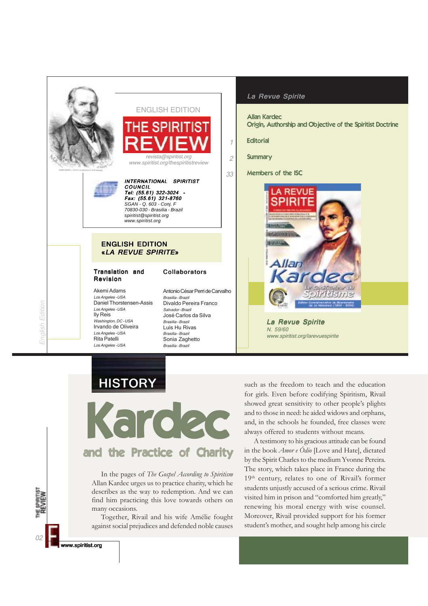

# **HISTORY**



In the pages of *The Gospel According to Spiritism* Allan Kardec urges us to practice charity, which he describes as the way to redemption. And we can find him practicing this love towards others on many occasions.

Together, Rivail and his wife Amélie fought against social prejudices and defended noble causes such as the freedom to teach and the education for girls. Even before codifying Spiritism, Rivail showed great sensitivity to other people's plights and to those in need: he aided widows and orphans, and, in the schools he founded, free classes were always offered to students without means.

A testimony to his gracious attitude can be found in the book *Amor e Ódio* [Love and Hate], dictated by the Spirit Charles to the medium Yvonne Pereira. The story, which takes place in France during the 19<sup>th</sup> century, relates to one of Rivail's former students unjustly accused of a serious crime. Rivail visited him in prison and "comforted him greatly," renewing his moral energy with wise counsel. Moreover, Rivail provided support for his former student's mother, and sought help among his circle

www.spiritist.org

 $\overline{1}$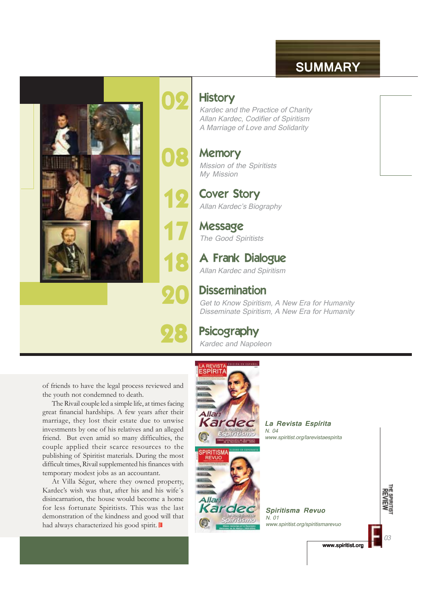# **SUMMARY**



### **History**

08

12

17

18

20

28

Kardec and the Practice of Charity Allan Kardec, Codifier of Spiritism A Marriage of Love and Solidarity

# **Memory**

Mission of the Spiritists My Mission

Cover Story Allan Kardec's Biography

Message The Good Spiritists

# A Frank Dialogue

Allan Kardec and Spiritism

## **Dissemination**

Get to Know Spiritism, A New Era for Humanity Disseminate Spiritism, A New Era for Humanity

# **Psicography**

Kardec and Napoleon



The Rivail couple led a simple life, at times facing great financial hardships. A few years after their marriage, they lost their estate due to unwise investments by one of his relatives and an alleged friend. But even amid so many difficulties, the couple applied their scarce resources to the publishing of Spiritist materials. During the most difficult times, Rivail supplemented his finances with temporary modest jobs as an accountant.

At Villa Ségur, where they owned property, Kardec's wish was that, after his and his wife´s disincarnation, the house would become a home for less fortunate Spiritists. This was the last demonstration of the kindness and good will that had always characterized his good spirit.

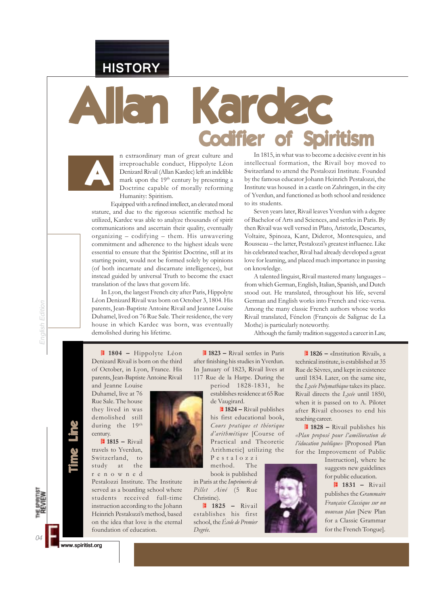

# Kardec Codifier of



n extraordinary man of great culture and irreproachable conduct, Hippolyte Léon Denizard Rivail (Allan Kardec) left an indelible mark upon the  $19<sup>th</sup>$  century by presenting a Doctrine capable of morally reforming Humanity: Spiritism.

Equipped with a refined intellect, an elevated moral stature, and due to the rigorous scientific method he utilized, Kardec was able to analyze thousands of spirit communications and ascertain their quality, eventually organizing – codifying – them. His unwavering commitment and adherence to the highest ideals were essential to ensure that the Spiritist Doctrine, still at its starting point, would not be formed solely by opinions (of both incarnate and discarnate intelligences), but instead guided by universal Truth to become the exact translation of the laws that govern life.

In Lyon, the largest French city after Paris, Hippolyte Léon Denizard Rivail was born on October 3, 1804. His parents, Jean-Baptiste Antoine Rivail and Jeanne Louise Duhamel, lived on 76 Rue Sale. Their residence, the very house in which Kardec was born, was eventually demolished during his lifetime.

In 1815, in what was to become a decisive event in his intellectual formation, the Rivail boy moved to Switzerland to attend the Pestalozzi Institute. Founded by the famous educator Johann Heinrich Pestalozzi, the Institute was housed in a castle on Zahringen, in the city of Yverdun, and functioned as both school and residence to its students.

Seven years later, Rivail leaves Yverdun with a degree of Bachelor of Arts and Sciences, and settles in Paris. By then Rivail was well versed in Plato, Aristotle, Descartes, Voltaire, Spinoza, Kant, Diderot, Montesquieu, and Rousseau – the latter, Pestalozzi's greatest influence. Like his celebrated teacher, Rival had already developed a great love for learning, and placed much importance in passing on knowledge.

A talented linguist, Rivail mastered many languages – from which German, English, Italian, Spanish, and Dutch stood out. He translated, throughout his life, several German and English works into French and vice-versa. Among the many classic French authors whose works Rivail translated, Fénelon (François de Salignac de La Mothe) is particularly noteworthy.

Although the family tradition suggested a career in Law,

**1804** – Hippolyte Léon Denizard Rivail is born on the third of October, in Lyon, France. His parents, Jean-Baptiste Antoine Rivail and Jeanne Louise

Duhamel, live at 76 Rue Sale. The house they lived in was demolished still during the 19th century.

 **1815 –** Rivail travels to Yverdun, Switzerland, to study at the renowned

www.spiritist.org

Time Line

Pestalozzi Institute. The Institute served as a boarding school where students received full-time instruction according to the Johann Heinrich Pestalozzi's method, based on the idea that love is the eternal foundation of education.

 **1823 –** Rivail settles in Paris after finishing his studies in Yverdun. In January of 1823, Rivail lives at 117 Rue de la Harpe. During the

> period 1828-1831, he establishes residence at 65 Rue de Vaugirard.

 **1824 –** Rivail publishes his first educational book, *Cours pratique et théorique d'arithmétique* [Course of Practical and Theoretic Arithmetic] utilizing the Pestalozzi

method. The book is published

in Paris at the *Imprimerie de Pillet Ainé* (5 Rue Christine).

 **1825 –** Rivail establishes his first school, the *École de Premier Degrée*.

 **1826 –** «Institution Rivail», a technical institute, is established at 35 Rue de Sèvres, and kept in existence until 1834. Later, on the same site, the *Lycée Polymathique* takes its place. Rivail directs the *Lycée* until 1850, when it is passed on to A. Pilotet after Rivail chooses to end his teaching career.

 **1828 –** Rivail publishes his *«Plan proposé pour l'amélioration de l'éducation publique»* [Proposed Plan for the Improvement of Public

> Instruction], where he suggests new guidelines for public education.

 **1831 –** Rivail publishes the *Grammaire Française Classique sur un nouveau plan* [New Plan for a Classic Grammar for the French Tongue].

Edition English Edition Enalish

 $\overline{\Omega}$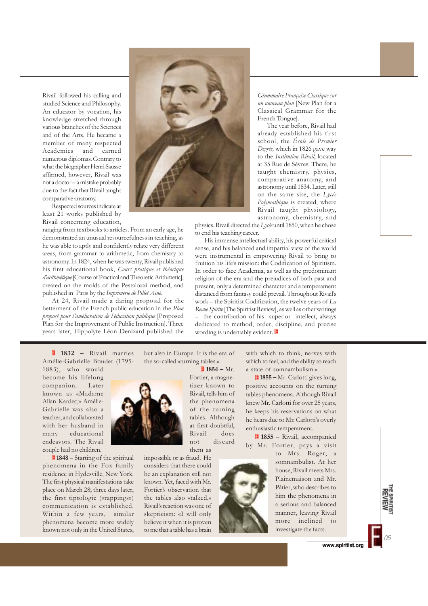Rivail followed his calling and studied Science and Philosophy. An educator by vocation, his knowledge stretched through various branches of the Sciences and of the Arts. He became a member of many respected Academies and earned numerous diplomas. Contrary to what the biographer Henri Sausse affirmed, however, Rivail was not a doctor – a mistake probably due to the fact that Rivail taught comparative anatomy.

Respected sources indicate at least 21 works published by Rivail concerning education,

ranging from textbooks to articles. From an early age, he demonstrated an unusual resourcefulness in teaching, as he was able to aptly and confidently relate very different areas, from grammar to arithmetic, from chemistry to astronomy. In 1824, when he was twenty, Rivail published his first educational book, *Cours pratique et théorique d'arithmétique* [Course of Practical and Theoretic Arithmetic], created on the molds of the Pestalozzi method, and published in Paris by the *Imprimerie de Pillet Ainé*.

At 24, Rivail made a daring proposal for the betterment of the French public education in the *Plan proposé pour l'amélioration de l'éducation publique* [Proposed Plan for the Improvement of Public Instruction]. Three years later, Hippolyte Léon Denizard published the



*Grammaire Française Classique sur un nouveau plan* [New Plan for a Classical Grammar for the French Tongue]*.*

The year before, Rivail had already established his first school, the *École de Premier Degrée,* which in 1826 gave way to the *Institution Rivail*, located at 35 Rue de Sèvres. There, he taught chemistry, physics, comparative anatomy, and astronomy until 1834. Later, still on the same site, the *Lycée Polymathique* is created, where Rivail taught physiology, astronomy, chemistry, and

physics. Rivail directed the *Lycée* until 1850, when he chose to end his teaching career.

His immense intellectual ability, his powerful critical sense, and his balanced and impartial view of the world were instrumental in empowering Rivail to bring to fruition his life's mission: the Codification of Spiritism. In order to face Academia, as well as the predominant religion of the era and the prejudices of both past and present, only a determined character and a temperament distanced from fantasy could prevail. Throughout Rivail's work – the Spiritist Codification, the twelve years of *La Revue Spirite* [The Spiritist Review], as well as other writings – the contribution of his superior intellect, always dedicated to method, order, discipline, and precise wording is undeniably evident.

**1832 –** Rivail marries Amélie-Gabrielle Boudet (1795 but also in Europe. It is the era of the so-called «turning tables.»

1883), who would become his lifelong companion. Later known as «Madame Allan Kardec,» Amélie-Gabrielle was also a teacher, and collaborated with her husband in many educational endeavors. The Rivail couple had no children.

**1848** – Starting of the spiritual phenomena in the Fox family residence in Hydesville, New York. The first physical manifestations take place on March 28; three days later, the first tiptologic («rappings») communication is established. Within a few years, similar phenomena become more widely known not only in the United States,



impossible or as fraud. He considers that there could be an explanation still not known. Yet, faced with Mr. Fortier's observation that the tables also «talked,» Rivail's reaction was one of skepticism: «I will only believe it when it is proven to me that a table has a brain



 **1854 –** Mr.

with which to think, nerves with which to feel, and the ability to reach a state of somnambulism.»

 **1855 –** Mr. Carlotti gives long, positive accounts on the turning tables phenomena. Although Rivail knew Mr. Carlotti for over 25 years, he keeps his reservations on what he hears due to Mr. Carlotti's overly enthusiastic temperament.

 **1855 –** Rivail, accompanied by Mr. Fortier, pays a visit

to Mrs. Roger, a somnambulist. At her house, Rivail meets Mrs. Plainemaison and Mr. Pâtier, who describes to him the phenomena in a serious and balanced manner, leaving Rivail more inclined to investigate the facts.

www.spiritist.org

 $\sqrt{5}$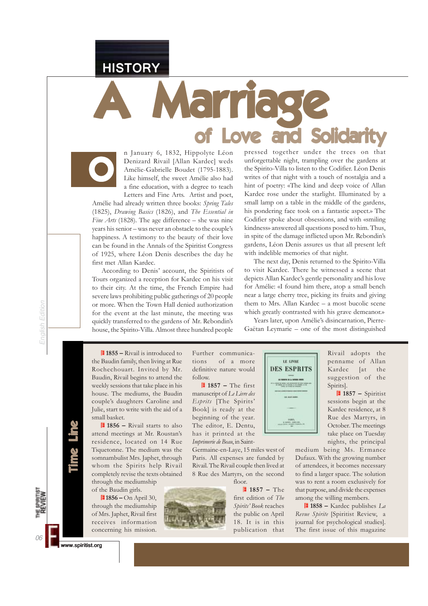**HISTORY** 

# of Love and Solidarity A Marriage

O

n January 6, 1832, Hippolyte Léon Denizard Rivail [Allan Kardec] weds Amélie-Gabrielle Boudet (1795-1883). Like himself, the sweet Amélie also had a fine education, with a degree to teach Letters and Fine Arts. Artist and poet,

Amélie had already written three books: *Spring Tales* (1825), *Drawing Basics* (1826), and *The Essential in Fine Arts* (1828). The age difference – she was nine years his senior – was never an obstacle to the couple's happiness. A testimony to the beauty of their love can be found in the Annals of the Spiritist Congress of 1925, where Léon Denis describes the day he first met Allan Kardec.

According to Denis' account, the Spiritists of Tours organized a reception for Kardec on his visit to their city. At the time, the French Empire had severe laws prohibiting public gatherings of 20 people or more. When the Town Hall denied authorization for the event at the last minute, the meeting was quickly transferred to the gardens of Mr. Rebondin's house, the Spirito-Villa. Almost three hundred people pressed together under the trees on that unforgettable night, trampling over the gardens at the Spirito-Villa to listen to the Codifier. Léon Denis writes of that night with a touch of nostalgia and a hint of poetry: «The kind and deep voice of Allan Kardec rose under the starlight. Illuminated by a small lamp on a table in the middle of the gardens, his pondering face took on a fantastic aspect.» The Codifier spoke about obsessions, and with «smiling kindness» answered all questions posed to him. Thus, in spite of the damage inflicted upon Mr. Rebondin's gardens, Léon Denis assures us that all present left with indelible memories of that night.

The next day, Denis returned to the Spirito-Villa to visit Kardec. There he witnessed a scene that depicts Allan Kardec's gentle personality and his love for Amélie: «I found him there, atop a small bench near a large cherry tree, picking its fruits and giving them to Mrs. Allan Kardec – a most bucolic scene which greatly contrasted with his grave demeanor.»

Years later, upon Amélie's disincarnation, Pierre-Gaëtan Leymarie – one of the most distinguished

**1855** – Rivail is introduced to the Baudin family, then living at Rue Rochechouart. Invited by Mr. Baudin, Rivail begins to attend the weekly sessions that take place in his house. The mediums, the Baudin couple's daughters Caroline and Julie, start to write with the aid of a small basket.

**1856 –** Rivail starts to also attend meetings at Mr. Roustan's residence, located on 14 Rue Tiquetonne. The medium was the somnambulist Mrs. Japhet, through whom the Spirits help Rivail completely revise the texts obtained through the mediumship

of the Baudin girls.  **1856 –** On April 30,

through the mediumship of Mrs. Japhet, Rivail first receives information concerning his mission. Further communications of a more definitive nature would follow.

 **1857 –** The first manuscript of *Le Livre des Esprits* [The Spirits' Book] is ready at the beginning of the year. The editor, E. Dentu, has it printed at the *Imprimerie de Beau*, in Saint-

Germaine-en-Laye, 15 miles west of Paris. All expenses are funded by Rivail. The Rivail couple then lived at 8 Rue des Martyrs, on the second floor.

> **1857 –** The first edition of *The Spirits' Book* reaches the public on April 18. It is in this publication that





Rivail adopts the penname of Allan Kardec [at the suggestion of the Spirits].

 **1857 –** Spiritist sessions begin at the Kardec residence, at 8 Rue des Martyrs, in October. The meetings take place on Tuesday nights, the principal

medium being Ms. Ermance Dufaux. With the growing number of attendees, it becomes necessary to find a larger space. The solution was to rent a room exclusively for that purpose, and divide the expenses among the willing members.

 **1858 –** Kardec publishes *La Revue Spirite* [Spiritist Review, a journal for psychological studies]. The first issue of this magazine

Fdition English Edition Enalish

www.spiritist.org

Time Line

 $n<sub>5</sub>$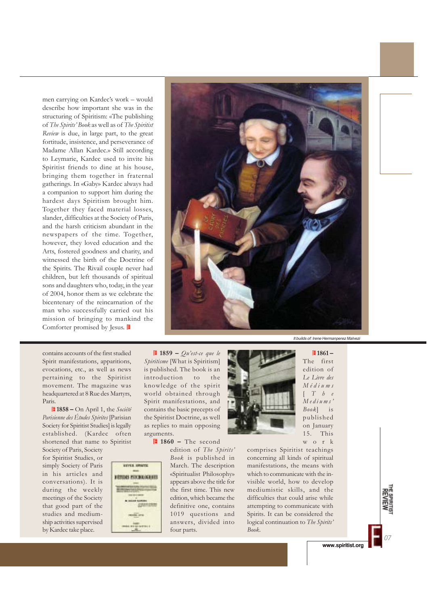men carrying on Kardec's work – would describe how important she was in the structuring of Spiritism: «The publishing of *The Spirits' Book* as well as of *The Spiritist Review* is due, in large part, to the great fortitude, insistence, and perseverance of Madame Allan Kardec.» Still according to Leymarie, Kardec used to invite his Spiritist friends to dine at his house, bringing them together in fraternal gatherings. In «Gaby» Kardec always had a companion to support him during the hardest days Spiritism brought him. Together they faced material losses, slander, difficulties at the Society of Paris, and the harsh criticism abundant in the newspapers of the time. Together, however, they loved education and the Arts, fostered goodness and charity, and witnessed the birth of the Doctrine of the Spirits. The Rivail couple never had children, but left thousands of spiritual sons and daughters who, today, in the year of 2004, honor them as we celebrate the bicentenary of the reincarnation of the man who successfully carried out his mission of bringing to mankind the Comforter promised by Jesus.

contains accounts of the first studied Spirit manifestations, apparitions, evocations, etc., as well as news pertaining to the Spiritist movement. The magazine was headquartered at 8 Rue des Martyrs, Paris.

 **1858 –** On April 1, the *Société Parisienne des Études Spirites* [Parisian Society for Spiritist Studies] is legally established. (Kardec often shortened that name to Spiritist Society of Paris, Society

for Spiritist Studies, or simply Society of Paris in his articles and conversations). It is during the weekly meetings of the Society that good part of the studies and mediumship activities supervised by Kardec take place.



 **1859 –** *Qu'est-ce que le Spiritisme* [What is Spiritism] is published. The book is an introduction to the knowledge of the spirit world obtained through Spirit manifestations, and contains the basic precepts of the Spiritist Doctrine, as well as replies to main opposing arguments.

**1860** – The second

edition of *The Spirits' Book* is published in March. The description «Spiritualist Philosophy» appears above the title for the first time. This new edition, which became the definitive one, contains 1019 questions and answers, divided into four parts.



edition of *Le Livre des Médiums*  $\int T h e$ *Mediums' Book*] is published on January 15. This work

comprises Spiritist teachings concerning all kinds of spiritual manifestations, the means with which to communicate with the invisible world, how to develop mediumistic skills, and the difficulties that could arise while attempting to communicate with Spirits. It can be considered the logical continuation to *The Spirits' Book*.

It builds of: Irene Hermanperez Malvezi







 $\sqrt{7}$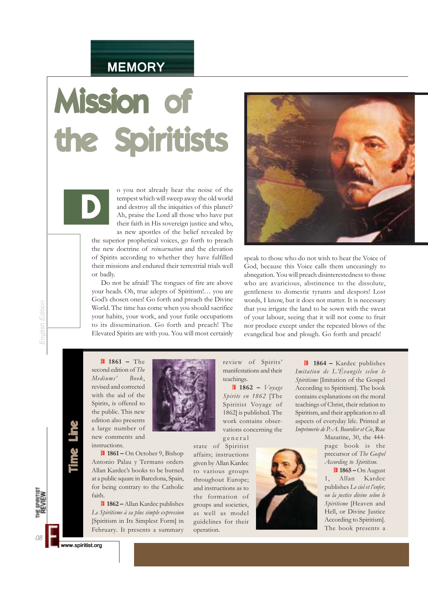# **MEMORY**

# **Mission of Spiritists**



o you not already hear the noise of the tempest which will sweep away the old world and destroy all the iniquities of this planet? Ah, praise the Lord all those who have put their faith in His sovereign justice and who, as new apostles of the belief revealed by

the superior prophetical voices, go forth to preach the new doctrine of *reincarnation* and the elevation of Spirits according to whether they have fulfilled their missions and endured their terrestrial trials well or badly.

Do not be afraid! The tongues of fire are above your heads. Oh, true adepts of Spiritism!… you are God's chosen ones! Go forth and preach the Divine World. The time has come when you should sacrifice your habits, your work, and your futile occupations to its dissemination. Go forth and preach! The Elevated Spirits are with you. You will most certainly



speak to those who do not wish to hear the Voice of God, because this Voice calls them unceasingly to abnegation. You will preach disinterestedness to those who are avaricious, abstinence to the dissolute, gentleness to domestic tyrants and despots! Lost words, I know, but it does not matter. It is necessary that you irrigate the land to be sown with the sweat of your labour, seeing that it will not come to fruit nor produce except under the repeated blows of the evangelical hoe and plough. Go forth and preach!

 **1861 –** The second edition of *The Mediums' Book*, revised and corrected with the aid of the Spirits, is offered to the public. This new edition also presents a large number of new comments and instructions.

**1861 –** On October 9, Bishop Antonio Palau y Termans orders Allan Kardec's books to be burned at a public square in Barcelona, Spain, for being contrary to the Catholic faith.

**1862** – Allan Kardec publishes *Le Spiritisme à sa plus simple expression* [Spiritism in Its Simplest Form] in February*.* It presents a summary

www.spiritist.org

Time Line



review of Spirits' manifestations and their teachings.

*Spirite en 1862* [The Spiritist Voyage of 1862] is published. The work contains observations concerning the

state of Spiritist affairs; instructions given by Allan Kardec to various groups throughout Europe; and instructions as to the formation of groups and societies, as well as model guidelines for their operation.

 **1862 –** *Voyage*

general



**1864 –** Kardec publishes *Imitation de L'Évangile selon le Spiritisme* [Imitation of the Gospel According to Spiritism]. The book contains explanations on the moral teachings of Christ, their relation to Spiritism, and their application to all aspects of everyday life. Printed at *Imprimerie de P.-A. Bourdier et Cie*, Rue

Mazarine, 30, the 444 page book is the precursor of *The Gospel According to Spiritism*.

 **1865 –** On August 1, Allan Kardec publishes *Le ciel et l'enfer, ou la justice divine selon le Spiritisme* [Heaven and Hell, or Divine Justice According to Spiritism]. The book presents a

Edition English Edition Enalish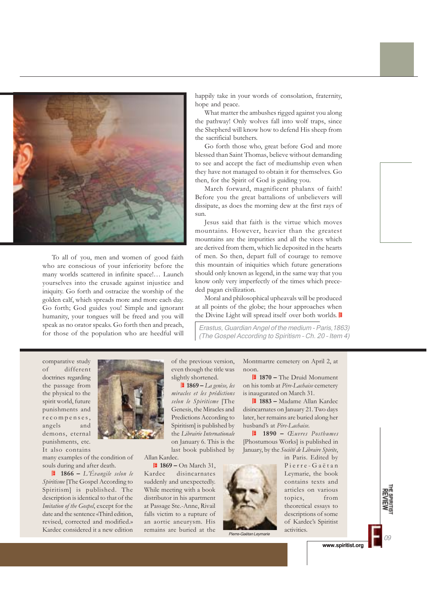

To all of you, men and women of good faith who are conscious of your inferiority before the many worlds scattered in infinite space!… Launch yourselves into the crusade against injustice and iniquity. Go forth and ostracize the worship of the golden calf, which spreads more and more each day. Go forth; God guides you! Simple and ignorant humanity, your tongues will be freed and you will speak as no orator speaks. Go forth then and preach, for those of the population who are heedful will happily take in your words of consolation, fraternity, hope and peace.

What matter the ambushes rigged against you along the pathway! Only wolves fall into wolf traps, since the Shepherd will know how to defend His sheep from the sacrificial butchers.

Go forth those who, great before God and more blessed than Saint Thomas, believe without demanding to see and accept the fact of mediumship even when they have not managed to obtain it for themselves. Go then, for the Spirit of God is guiding you.

March forward, magnificent phalanx of faith! Before you the great battalions of unbelievers will dissipate, as does the morning dew at the first rays of sun.

Jesus said that faith is the virtue which moves mountains. However, heavier than the greatest mountains are the impurities and all the vices which are derived from them, which lie deposited in the hearts of men. So then, depart full of courage to remove this mountain of iniquities which future generations should only known as legend, in the same way that you know only very imperfectly of the times which preceded pagan civilization.

Moral and philosophical upheavals will be produced at all points of the globe; the hour approaches when the Divine Light will spread itself over both worlds.

Erastus, Guardian Angel of the medium - Paris,1863) (The Gospel According to Spiritism – Ch. 20 – Item 4)

comparative study of different doctrines regarding the passage from the physical to the spirit world, future punishments and recompenses, angels and demons, eternal punishments, etc. It also contains



many examples of the condition of souls during and after death.

 **1866 –** *L'Évangile selon le Spiritisme* [The Gospel According to Spiritism] is published. The description is identical to that of the *Imitation of the Gospel*, except for the date and the sentence «Third edition, revised, corrected and modified.» Kardec considered it a new edition of the previous version, even though the title was slightly shortened.

 **1869 –** *La genèse, les miracles et les prédictions selon le Spiritisme* [The Genesis, the Miracles and Predictions According to Spiritism] is published by the *Librairie Internationale* on January 6. This is the last book published by

Allan Kardec.

 **1869 –** On March 31, Kardec disincarnates suddenly and unexpectedly. While meeting with a book distributor in his apartment at Passage Ste.-Anne, Rivail falls victim to a rupture of an aortic aneurysm. His remains are buried at the

Montmartre cemetery on April 2, at noon.

 **1870 –** The Druid Monument on his tomb at *Père-Lachaise* cemetery is inaugurated on March 31.

 **1883 –** Madame Allan Kardec disincarnates on January 21. Two days later, her remains are buried along her husband's at *Père-Lachaise*.

 **1890 –** *Œuvres Posthumes* [Phostumous Works] is published in January, by the *Société de Libraire Spirite*,



Pierre-Gaëtan Leymarie (1209)<br>1209 - Johann Britain, Amerikaansk politiker († 1209)<br>1209 - Johann Britain, Amerikaansk politiker († 1209) in Paris. Edited by Pierre-Gaëtan Leymarie, the book contains texts and articles on various topics, from theoretical essays to descriptions of some of Kardec's Spiritist activities.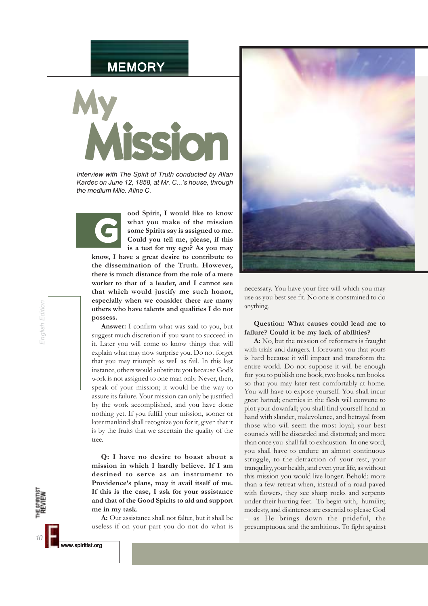# **MEMORY**

Mission My *Interview with The Spirit of Truth conducted by Allan*

*Kardec on June 12, 1858, at Mr. C...'s house, through the medium Mlle. Aline C.*

G

**ood Spirit, I would like to know what you make of the mission some Spirits say is assigned to me. Could you tell me, please, if this is a test for my ego? As you may know, I have a great desire to contribute to the dissemination of the Truth. However, there is much distance from the role of a mere worker to that of a leader, and I cannot see that which would justify me such honor,**

**especially when we consider there are many others who have talents and qualities I do not possess.**

**Answer:** I confirm what was said to you, but suggest much discretion if you want to succeed in it. Later you will come to know things that will explain what may now surprise you. Do not forget that you may triumph as well as fail. In this last instance, others would substitute you because God's work is not assigned to one man only. Never, then, speak of your mission; it would be the way to assure its failure. Your mission can only be justified by the work accomplished, and you have done nothing yet. If you fulfill your mission, sooner or later mankind shall recognize you for it, given that it is by the fruits that we ascertain the quality of the tree.

**Q: I have no desire to boast about a mission in which I hardly believe. If I am destined to serve as an instrument to Providence's plans, may it avail itself of me. If this is the case, I ask for your assistance and that of the Good Spirits to aid and support me in my task.**

**A:** Our assistance shall not falter, but it shall be useless if on your part you do not do what is



necessary. You have your free will which you may use as you best see fit. No one is constrained to do anything.

**Question: What causes could lead me to failure? Could it be my lack of abilities?**

**A:** No, but the mission of reformers is fraught with trials and dangers. I forewarn you that yours is hard because it will impact and transform the entire world. Do not suppose it will be enough for you to publish one book, two books, ten books, so that you may later rest comfortably at home. You will have to expose yourself. You shall incur great hatred; enemies in the flesh will convene to plot your downfall; you shall find yourself hand in hand with slander, malevolence, and betrayal from those who will seem the most loyal; your best counsels will be discarded and distorted; and more than once you shall fall to exhaustion. In one word, you shall have to endure an almost continuous struggle, to the detraction of your rest, your tranquility, your health, and even your life, as without this mission you would live longer. Behold: more than a few retreat when, instead of a road paved with flowers, they see sharp rocks and serpents under their hurting feet. To begin with, humility, modesty, and disinterest are essential to please God – as He brings down the prideful, the presumptuous, and the ambitious. To fight against

Enalish Edition English Edition

www.spiritist.org

 $1<sub>1</sub>$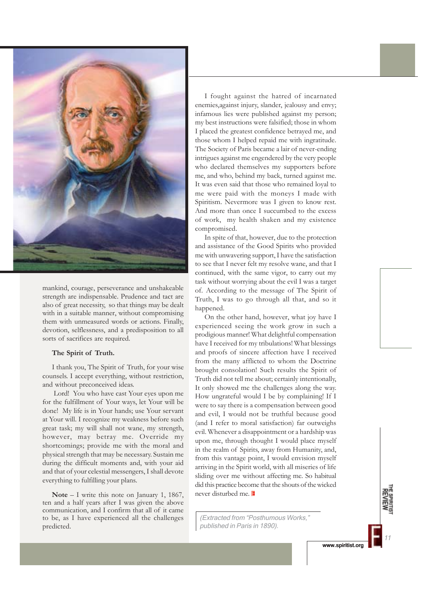

mankind, courage, perseverance and unshakeable strength are indispensable. Prudence and tact are also of great necessity, so that things may be dealt with in a suitable manner, without compromising them with unmeasured words or actions. Finally, devotion, selflessness, and a predisposition to all sorts of sacrifices are required.

#### **The Spirit of Truth.**

I thank you, The Spirit of Truth, for your wise counsels. I accept everything, without restriction, and without preconceived ideas.

 Lord! You who have cast Your eyes upon me for the fulfillment of Your ways, let Your will be done! My life is in Your hands; use Your servant at Your will. I recognize my weakness before such great task; my will shall not wane, my strength, however, may betray me. Override my shortcomings; provide me with the moral and physical strength that may be necessary. Sustain me during the difficult moments and, with your aid and that of your celestial messengers, I shall devote everything to fulfilling your plans.

**Note** – I write this note on January 1, 1867, ten and a half years after I was given the above communication, and I confirm that all of it came to be, as I have experienced all the challenges predicted.

I fought against the hatred of incarnated enemies,against injury, slander, jealousy and envy; infamous lies were published against my person; my best instructions were falsified; those in whom I placed the greatest confidence betrayed me, and those whom I helped repaid me with ingratitude. The Society of Paris became a lair of never-ending intrigues against me engendered by the very people who declared themselves my supporters before me, and who, behind my back, turned against me. It was even said that those who remained loyal to me were paid with the moneys I made with Spiritism. Nevermore was I given to know rest. And more than once I succumbed to the excess of work, my health shaken and my existence compromised.

In spite of that, however, due to the protection and assistance of the Good Spirits who provided me with unwavering support, I have the satisfaction to see that I never felt my resolve wane, and that I continued, with the same vigor, to carry out my task without worrying about the evil I was a target of. According to the message of The Spirit of Truth, I was to go through all that, and so it happened.

On the other hand, however, what joy have I experienced seeing the work grow in such a prodigious manner! What delightful compensation have I received for my tribulations! What blessings and proofs of sincere affection have I received from the many afflicted to whom the Doctrine brought consolation! Such results the Spirit of Truth did not tell me about; certainly intentionally, It only showed me the challenges along the way. How ungrateful would I be by complaining! If I were to say there is a compensation between good and evil, I would not be truthful because good (and I refer to moral satisfaction) far outweighs evil. Whenever a disappointment or a hardship was upon me, through thought I would place myself in the realm of Spirits, away from Humanity, and, from this vantage point, I would envision myself arriving in the Spirit world, with all miseries of life sliding over me without affecting me. So habitual did this practice become that the shouts of the wicked never disturbed me.

(Extracted from "Posthumous Works," published in Paris in 1890).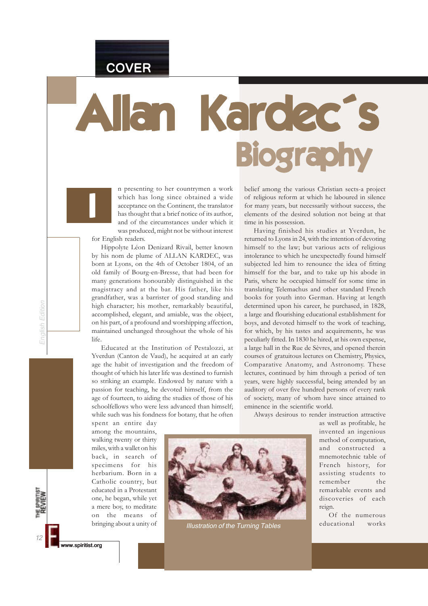**COVER** 

I

Allan Kardec´s Allan Kardec´s Allan Kardec´s Biography

> n presenting to her countrymen a work which has long since obtained a wide acceptance on the Continent, the translator has thought that a brief notice of its author, and of the circumstances under which it was produced, might not be without interest for English readers.

> Hippolyte Léon Denizard Rivail, better known by his nom de plume of ALLAN KARDEC, was born at Lyons, on the 4th of October 1804, of an old family of Bourg-en-Bresse, that had been for many generations honourably distinguished in the magistracy and at the bar. His father, like his grandfather, was a barrister of good standing and high character; his mother, remarkably beautiful, accomplished, elegant, and amiable, was the object, on his part, of a profound and worshipping affection, maintained unchanged throughout the whole of his life.

> Educated at the Institution of Pestalozzi, at Yverdun (Canton de Vaud), he acquired at an early age the habit of investigation and the freedom of thought of which his later life was destined to furnish so striking an example. Endowed by nature with a passion for teaching, he devoted himself, from the age of fourteen, to aiding the studies of those of his schoolfellows who were less advanced than himself; while such was his fondness for botany, that he often

belief among the various Christian sects-a project of religious reform at which he laboured in silence for many years, but necessarily without success, the elements of the desired solution not being at that time in his possession.

Having finished his studies at Yverdun, he returned to Lyons in 24, with the intention of devoting himself to the law; but various acts of religious intolerance to which he unexpectedly found himself subjected led him to renounce the idea of fitting himself for the bar, and to take up his abode in Paris, where he occupied himself for some time in translating Telemachus and other standard French books for youth into German. Having at length determined upon his career, he purchased, in 1828, a large and flourishing educational establishment for boys, and devoted himself to the work of teaching, for which, by his tastes and acquirements, he was peculiarly fitted. In 1830 he hired, at his own expense, a large hall in the Rue de Sèvres, and opened therein courses of gratuitous lectures on Chemistry, Physics, Comparative Anatomy, and Astronomy. These lectures, continued by him through a period of ten years, were highly successful, being attended by an auditory of over five hundred persons of every rank of society, many of whom have since attained to eminence in the scientific world.

Always desirous to render instruction attractive

as well as profitable, he invented an ingenious method of computation, and constructed a mnemotechnic table of French history, for assisting students to remember the remarkable events and discoveries of each reign.

Of the numerous educational works

12

English Edition

Enalish

Fdition

spent an entire day among the mountains, walking twenty or thirty miles, with a wallet on his back, in search of specimens for his herbarium. Born in a Catholic country, but educated in a Protestant one, he began, while yet a mere boy, to meditate on the means of bringing about a unity of



Illustration of the Turning Tables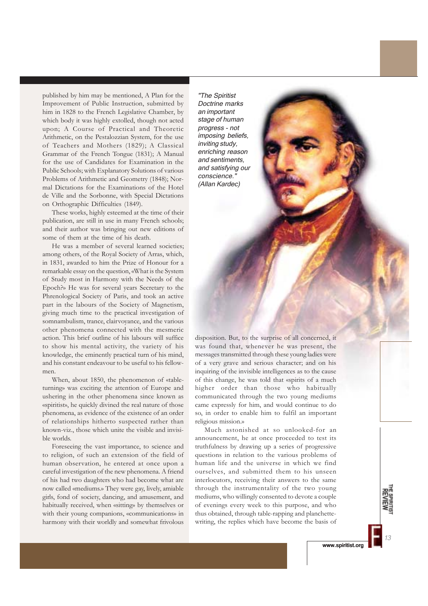published by him may be mentioned, A Plan for the Improvement of Public Instruction, submitted by him in 1828 to the French Legislative Chamber, by which body it was highly extolled, though not acted upon; A Course of Practical and Theoretic Arithmetic, on the Pestalozzian System, for the use of Teachers and Mothers (1829); A Classical Grammar of the French Tongue (1831); A Manual for the use of Candidates for Examination in the Public Schools; with Explanatory Solutions of various Problems of Arithmetic and Geometry (1848); Normal Dictations for the Examinations of the Hotel de Ville and the Sorbonne, with Special Dictations on Orthographic Difficulties (1849).

These works, highly esteemed at the time of their publication, are still in use in many French schools; and their author was bringing out new editions of some of them at the time of his death.

He was a member of several learned societies; among others, of the Royal Society of Arras, which, in 1831, awarded to him the Prize of Honour for a remarkable essay on the question, «What is the System of Study most in Harmony with the Needs of the Epoch?» He was for several years Secretary to the Phrenological Society of Paris, and took an active part in the labours of the Society of Magnetism, giving much time to the practical investigation of somnambulism, trance, clairvoyance, and the various other phenomena connected with the mesmeric action. This brief outline of his labours will suffice to show his mental activity, the variety of his knowledge, the eminently practical turn of his mind, and his constant endeavour to be useful to his fellowmen.

When, about 1850, the phenomenon of «tableturning» was exciting the attention of Europe and ushering in the other phenomena since known as «spiritist», he quickly divined the real nature of those phenomena, as evidence of the existence of an order of relationships hitherto suspected rather than known-viz., those which unite the visible and invisible worlds.

Foreseeing the vast importance, to science and to religion, of such an extension of the field of human observation, he entered at once upon a careful investigation of the new phenomena. A friend of his had two daughters who had become what are now called «mediums.» They were gay, lively, amiable girls, fond of society, dancing, and amusement, and habitually received, when «sitting» by themselves or with their young companions, «communications» in harmony with their worldly and somewhat frivolous

"The Spiritist Doctrine marks an important stage of human progress - not imposing beliefs, inviting study, enriching reason and sentiments, and satisfying our conscience." (Allan Kardec)

disposition. But, to the surprise of all concerned, it was found that, whenever he was present, the messages transmitted through these young ladies were of a very grave and serious character; and on his inquiring of the invisible intelligences as to the cause of this change, he was told that «spirits of a much higher order than those who habitually communicated through the two young mediums came expressly for him, and would continue to do so, in order to enable him to fulfil an important religious mission.»

Much astonished at so unlooked-for an announcement, he at once proceeded to test its truthfulness by drawing up a series of progressive questions in relation to the various problems of human life and the universe in which we find ourselves, and submitted them to his unseen interlocutors, receiving their answers to the same through the instrumentality of the two young mediums, who willingly consented to devote a couple of evenings every week to this purpose, and who thus obtained, through table-rapping and planchettewriting, the replies which have become the basis of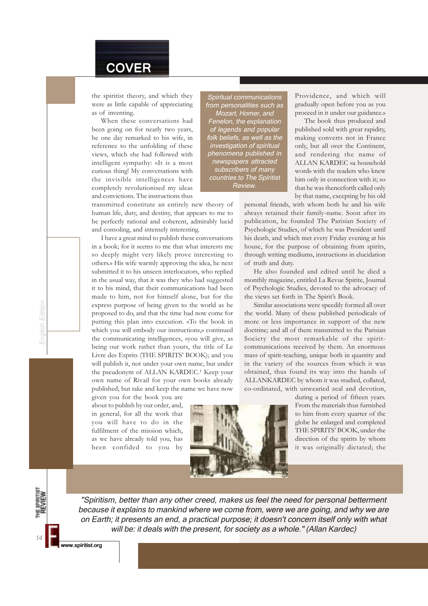

the spiritist theory, and which they were as little capable of appreciating as of inventing.

When these conversations had been going on for nearly two years, he one day remarked to his wife, in reference to the unfolding of these views, which she had followed with intelligent sympathy: «It is a most curious thing! My conversations with the invisible intelligences have completely revolutionised my ideas and convictions. The instructions thus

transmitted constitute an entirely new theory of human life, duty, and destiny, that appears to me to be perfectly rational and coherent, admirably lucid and consoling, and intensely interesting.

I have a great mind to publish these conversations in a book; for it seems to me that what interests me so deeply might very likely prove interesting to others.» His wife warmly approving the idea, he next submitted it to his unseen interlocutors, who replied in the usual way, that it was they who had suggested it to his mind, that their communications had been made to him, not for himself alone, but for the express purpose of being given to the world as he proposed to do, and that the time had now come for putting this plan into execution. «To the book in which you will embody our instructions,» continued the communicating intelligences, «you will give, as being our work rather than yours, the title of Le Livre des Esprits (THE SPIRITS' BOOK); and you will publish it, not under your own name, but under the pseudonym of ALLAN KARDEC.<sup>1</sup> Keep your own name of Rivail for your own books already published; but take and keep the name we have now

given you for the book you are about to publish by our order, and, in general, for all the work that you will have to do in the fulfilment of the mission which. as we have already told you, has been confided to you by

Spiritual communications from personalities such as Mozart, Homer, and Fenelon, the explanation of legends and popular folk beliefs, as well as the investigation of spiritual phenomena published in newspapers attracted subscribers of many countries to The Spiritist Review.

Providence, and which will gradually open before you as you proceed in it under our guidance.»

The book thus produced and published sold with great rapidity, making converts not in France only, but all over the Continent, and rendering the name of ALLAN KARDEC «a household word» with the readers who knew him only in connection with it; so that he was thenceforth called only by that name, excepting by his old

personal friends, with whom both he and his wife always retained their family-name. Soon after its publication, he founded The Parisian Society of Psychologic Studies, of which he was President until his death, and which met every Friday evening at his house, for the purpose of obtaining from spirits, through writing mediums, instructions in elucidation of truth and duty.

He also founded and edited until he died a monthly magazine, entitled La Revue Spirite, Journal of Psychologic Studies, devoted to the advocacy of the views set forth in The Spirit's Book.

Similar associations were speedily formed all over the world. Many of these published periodicals of more or less importance in support of the new doctrine; and all of them transmitted to the Parisian Society the most remarkable of the spiritcommunications received by them. An enormous mass of spirit-teaching, unique both in quantity and in the variety of the sources from which it was obtained, thus found its way into the hands of ALLANKARDEC by whom it was studied, collated, co-ordinated, with unwearied zeal and devotion,

> during a period of fifteen years. From the materials thus furnished to him from every quarter of the globe he enlarged and completed THE SPIRITS' BOOK, under the direction of the spirits by whom it was originally dictated; the



"Spiritism, better than any other creed, makes us feel the need for personal betterment because it explains to mankind where we come from, were we are going, and why we are on Earth; it presents an end, a practical purpose; it doesn't concern itself only with what will be: it deals with the present, for society as a whole." (Allan Kardec)

www.spiritist.org

 $11$ 

14

English Edition

Enalish

Fdition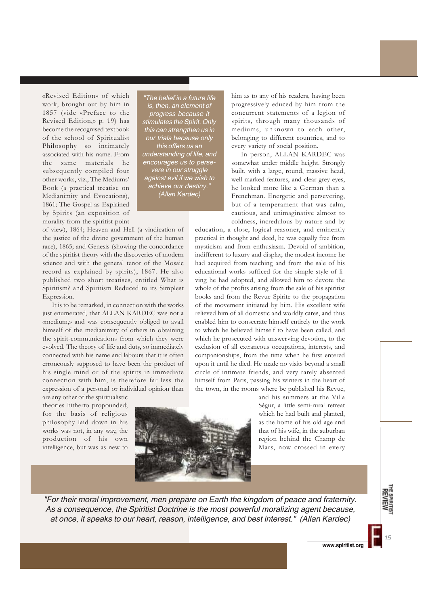«Revised Edition» of which work, brought out by him in 1857 (vide «Preface to the Revised Edition,» p. 19) has become the recognised textbook of the school of Spiritualist Philosophy so intimately associated with his name. From the same materials he subsequently compiled four other works, viz., The Mediums' Book (a practical treatise on Medianimity and Evocations), 1861; The Gospel as Explained by Spirits (an exposition of morality from the spiritist point

"The belief in a future life is, then, an element of progress because it stimulates the Spirit. Only this can strengthen us in our trials because only this offers us an understanding of life, and encourages us to persevere in our struggle against evil if we wish to achieve our destiny. (Allan Kardec)

of view), 1864; Heaven and Hell (a vindication of the justice of the divine government of the human race), 1865; and Genesis (showing the concordance of the spiritist theory with the discoveries of modern science and with the general tenor of the Mosaic record as explained by spirits), 1867. He also published two short treatises, entitled What is Spiritism? and Spiritism Reduced to its Simplest Expression.

It is to be remarked, in connection with the works just enumerated, that ALLAN KARDEC was not a «medium,» and was consequently obliged to avail himself of the medianimity of others in obtaining the spirit-communications from which they were evolved. The theory of life and duty, so immediately connected with his name and labours that it is often erroneously supposed to have been the product of his single mind or of the spirits in immediate connection with him, is therefore far less the expression of a personal or individual opinion than

are any other of the spiritualistic theories hitherto propounded; for the basis of religious philosophy laid down in his works was not, in any way, the production of his own intelligence, but was as new to him as to any of his readers, having been progressively educed by him from the concurrent statements of a legion of spirits, through many thousands of mediums, unknown to each other, belonging to different countries, and to every variety of social position.

In person, ALLAN KARDEC was somewhat under middle height. Strongly built, with a large, round, massive head, well-marked features, and clear grey eyes, he looked more like a German than a Frenchman. Energetic and persevering, but of a temperament that was calm, cautious, and unimaginative almost to coldness, incredulous by nature and by

education, a close, logical reasoner, and eminently practical in thought and deed, he was equally free from mysticism and from enthusiasm. Devoid of ambition, indifferent to luxury and display, the modest income he had acquired from teaching and from the sale of his educational works sufficed for the simple style of living he had adopted, and allowed him to devote the whole of the profits arising from the sale of his spiritist books and from the Revue Spirite to the propagation of the movement initiated by him. His excellent wife relieved him of all domestic and worldly cares, and thus enabled him to consecrate himself entirely to the work to which he believed himself to have been called, and which he prosecuted with unswerving devotion, to the exclusion of all extraneous occupations, interests, and companionships, from the time when he first entered upon it until he died. He made no visits beyond a small circle of intimate friends, and very rarely absented himself from Paris, passing his winters in the heart of the town, in the rooms where be published his Revue,



and his summers at the Villa Ségur, a little semi-rural retreat which he had built and planted, as the home of his old age and that of his wife, in the suburban region behind the Champ de Mars, now crossed in every

"For their moral improvement, men prepare on Earth the kingdom of peace and fraternity. As a consequence, the Spiritist Doctrine is the most powerful moralizing agent because, at once, it speaks to our heart, reason, intelligence, and best interest." (Allan Kardec)

12 15

**REVIEW**<br>REVIEW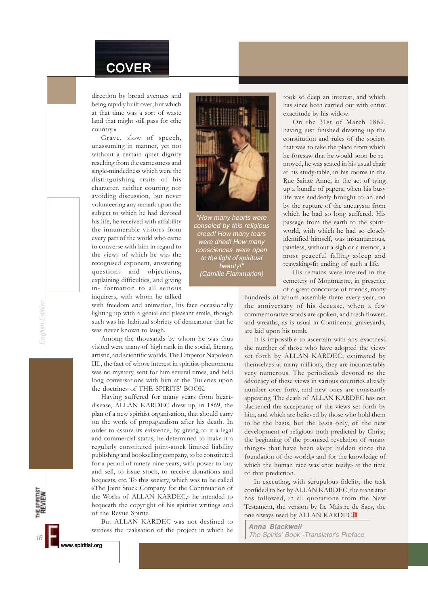

direction by broad avenues and being rapidly built over, but which at that time was a sort of waste land that might still pass for «the country.»

Grave, slow of speech, unassuming in manner, yet not without a certain quiet dignity resulting from the earnestness and single-mindedness which were the distinguishing traits of his character, neither courting nor avoiding discussion, but never volunteering any remark upon the subject to which he had devoted his life, he received with affability the innumerable visitors from every part of the world who came to converse with him in regard to the views of which he was the recognised exponent, answering questions and objections, explaining difficulties, and giving in- formation to all serious inquirers, with whom he talked

with freedom and animation, his face occasionally lighting up with a genial and pleasant smile, though such was his habitual sobriety of demeanour that he was never known to laugh.

Among the thousands by whom he was thus visited were many of high rank in the social, literary, artistic, and scientific worlds. The Emperor Napoleon III., the fact of whose interest in spiritist-phenomena was no mystery, sent for him several times, and held long conversations with him at the Tuileries upon the doctrines of THE SPIRITS' BOOK.

Having suffered for many years from heartdisease, ALLAN KARDEC drew up, in 1869, the plan of a new spiritist organisation, that should carry on the work of propagandism after his death. In order to assure its existence, by giving to it a legal and commercial status, he determined to make it a regularly constituted joint-stock limited liability publishing and bookselling company, to be constituted for a period of ninety-nine years, with power to buy and sell, to issue stock, to receive donations and bequests, etc. To this society, which was to be called «The Joint Stock Company for the Continuation of the Works of ALLAN KARDEC,» he intended to bequeath the copyright of his spiritist writings and of the Revue Spirite.

But ALLAN KARDEC was not destined to witness the realisation of the project in which he

www.spiritist.org

16



"How many hearts were consoled by this religious creed! How many tears were dried! How many consciences were open to the light of spiritual beauty. (Camille Flammarion)

took so deep an interest, and which has since been carried out with entire exactitude by his widow.

On the 31st of March 1869, having just finished drawing up the constitution and rules of the society that was to take the place from which he foresaw that he would soon be removed, he was seated in his usual chair at his study-table, in his rooms in the Rue Sainte Anne, in the act of tying up a bundle of papers, when his busy life was suddenly brought to an end by the rupture of the aneurysm from which he had so long suffered. His passage from the earth to the spiritworld, with which he had so closely identified himself, was instantaneous, painless, without a sigh or a tremor; a most peaceful falling asleep and reawaking-fit ending of such a life.

His remains were interred in the cemetery of Montmartre, in presence of a great concourse of friends, many

hundreds of whom assemble there every year, on the anniversary of his decease, when a few commemorative words are spoken, and fresh flowers and wreaths, as is usual in Continental graveyards, are laid upon his tomb.

It is impossible to ascertain with any exactness the number of those who have adopted the views set forth by ALLAN KARDEC; estimated by themselves at many millions, they are incontestably very numerous. The periodicals devoted to the advocacy of these views in various countries already number over forty, and new ones are constantly appearing. The death of ALLAN KARDEC has not slackened the acceptance of the views set forth by him, and which are believed by those who hold them to be the basis, but the basis only, of the new development of religious truth predicted by Christ; the beginning of the promised revelation of «many things» that have been «kept hidden since the foundation of the world,» and for the knowledge of which the human race was «not ready» at the time of that prediction.

In executing, with scrupulous fidelity, the task confided to her by ALLAN KARDEC, the translator has followed, in all quotations from the New Testament, the version by Le Maistre de Sacy, the one always used by ALLAN KARDEC.

Anna Blackwell The Spirits' Book -Translator's Preface

English Edition Edition Enalish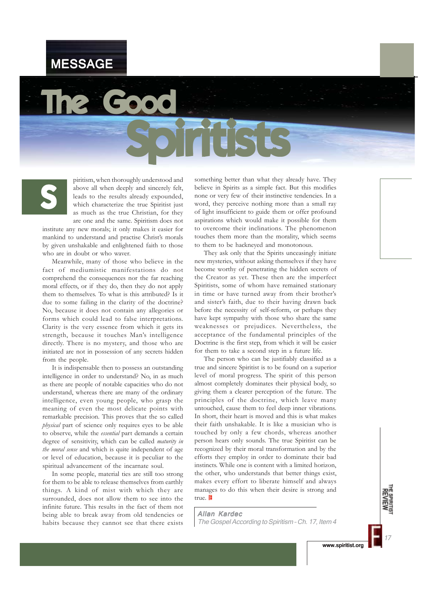MESSAGE

S

piritism, when thoroughly understood and above all when deeply and sincerely felt, leads to the results already expounded, which characterize the true Spiritist just as much as the true Christian, for they are one and the same. Spiritism does not

Cool C

institute any new morals; it only makes it easier for mankind to understand and practise Christ's morals by given unshakable and enlightened faith to those who are in doubt or who waver.

Meanwhile, many of those who believe in the fact of mediumistic manifestations do not comprehend the consequences nor the far reaching moral effects, or if they do, then they do not apply them to themselves. To what is this attributed? Is it due to some failing in the clarity of the doctrine? No, because it does not contain any allegories or forms which could lead to false interpretations. Clarity is the very essence from which it gets its strength, because it touches Man's intelligence directly. There is no mystery, and those who are initiated are not in possession of any secrets hidden from the people.

It is indispensable then to possess an outstanding intelligence in order to understand? No, in as much as there are people of notable capacities who do not understand, whereas there are many of the ordinary intelligence, even young people, who grasp the meaning of even the most delicate points with remarkable precision. This proves that the so called *physical* part of science only requires eyes to be able to observe, while the *essential* part demands a certain degree of sensitivity, which can be called *maturity in the moral sense* and which is quite independent of age or level of education, because it is peculiar to the spiritual advancement of the incarnate soul.

In some people, material ties are still too strong for them to be able to release themselves from earthly things. A kind of mist with which they are surrounded, does not allow them to see into the infinite future. This results in the fact of them not being able to break away from old tendencies or habits because they cannot see that there exists

something better than what they already have. They believe in Spirits as a simple fact. But this modifies none or very few of their instinctive tendencies. In a word, they perceive nothing more than a small ray of light insufficient to guide them or offer profound aspirations which would make it possible for them to overcome their inclinations. The phenomenon touches them more than the morality, which seems to them to be hackneyed and monotonous.

Spiritists

They ask only that the Spirits unceasingly initiate new mysteries, without asking themselves if they have become worthy of penetrating the hidden secrets of the Creator as yet. These then are the imperfect Spiritists, some of whom have remained stationary in time or have turned away from their brother's and sister's faith, due to their having drawn back before the necessity of self-reform, or perhaps they have kept sympathy with those who share the same weaknesses or prejudices. Nevertheless, the acceptance of the fundamental principles of the Doctrine is the first step, from which it will be easier for them to take a second step in a future life.

The person who can be justifiably classified as a true and sincere Spiritist is to be found on a superior level of moral progress. The spirit of this person almost completely dominates their physical body, so giving them a clearer perception of the future. The principles of the doctrine, which leave many untouched, cause them to feel deep inner vibrations. In short, their heart is moved and this is what makes their faith unshakable. It is like a musician who is touched by only a few chords, whereas another person hears only sounds. The true Spiritist can be recognized by their moral transformation and by the efforts they employ in order to dominate their bad instincts. While one is content with a limited horizon, the other, who understands that better things exist, makes every effort to liberate himself and always manages to do this when their desire is strong and true.

Allan Kardec

The Gospel According to Spiritism – Ch. 17, Item 4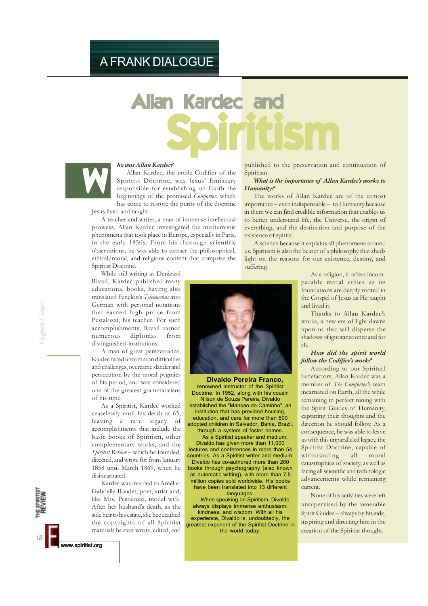## A FRANK DIALOGUE

# Spiritism Allan Kardec and



#### *ho was Allan Kardec?*

Allan Kardec, the noble Codifier of the Spiritist Doctrine, was Jesus' Emissary responsible for establishing on Earth the beginnings of the promised *Comforter*, which has come to restore the purity of the doctrine

Jesus lived and taught.

A teacher and writer, a man of immense intellectual prowess, Allan Kardec investigated the mediumistic phenomena that took place in Europe, especially in Paris, in the early 1850s. From his thorough scientific observations, he was able to extract the philosophical, ethical/moral, and religious content that comprise the Spiritist Doctrine.

While still writing as Denizard Rivail, Kardec published many educational books, having also translated Fenelon's *Telemachus* into German with personal notations that earned high praise from Pestalozzi, his teacher. For such accomplishments, Rivail earned numerous diplomas from distinguished institutions.

A man of great perseverance, Kardec faced uncommon difficulties and challenges, overcame slander and persecution by the moral pygmies of his period, and was considered one of the greatest grammaticians of his time.

As a Spiritist, Kardec worked ceaselessly until his death at 65, leaving a rare legacy of accomplishments that include the basic books of Spiritism, other complementary works, and the *Spiritist Review* – which he founded, directed, and wrote for from January 1858 until March 1869, when he disincarnated.

Kardec was married to Amélie-Gabrielle Boudet, poet, artist and, like Mrs. Pestalozzi, model wife. After her husband's death, as the sole heir to his estate, she bequeathed the copyrights of all Spiritist materials he ever wrote, edited, and

www.spiritist.org

published to the preservation and continuation of Spiritism.

*What is the importance of Allan Kardec's works to Humanity?*

The works of Allan Kardec are of the utmost importance – even indispensable – to Humanity because in them we can find credible information that enables us to better understand life, the Universe, the origin of everything, and the destination and purpose of the existence of spirits.

A science because it explains all phenomena around us, Spiritism is also the bearer of a philosophy that sheds light on the reasons for our existence, destiny, and suffering.



**Divaldo Pereira Franco,** renowned instructor of the Spiritist Doctrine. In 1952, along with his cousin Nilson de Souza Pereira, Divaldo established the "Mansao do Caminho", an institution that has provided housing, education, and care for more than 600 adopted children in Salvador, Bahia, Brazil, .<br>through a system of foster homes. As a Spiritist speaker and medium,

Divaldo has given more than 11,000 lectures and conferences in more than 54 countries. As a Spiritist writer and medium, Divaldo has co-authored more than 200 books through psychography (also known as automatic writing), with more than 7.5 million copies sold worldwide. His books have been translated into 13 different

languages. When speaking on Spiritism, Divaldo always displays immense enthusiasm, kindness, and wisdom. With all his experience, Divaldo is, undoubtedly, the greatest exponent of the Spiritist Doctrine in the world today.

As a religion, it offers incomparable moral ethics as its foundations are deeply rooted in the Gospel of Jesus as He taught and lived it.

Thanks to Allan Kardec's works, a new era of light dawns upon us that will disperse the shadows of ignorance once and for all.

#### *How did the spirit world follow the Codifier's work?*

According to our Spiritual benefactors, Allan Kardec was a member of *The Comforter'*s team incarnated on Earth, all the while remaining in perfect tuning with the Spirit Guides of Humanity, capturing their thoughts and the direction he should follow. As a consequence, he was able to leave us with this unparalleled legacy, the Spiritist Doctrine, capable of withstanding all moral catastrophies of society, as well as facing all scientific and technologic advancements while remaining current.

None of his activities were left unsupervised by the venerable Spirit Guides – always by his side, inspiring and directing him in the creation of the Spiritist thought.

Fdition English Edition halish

 $10$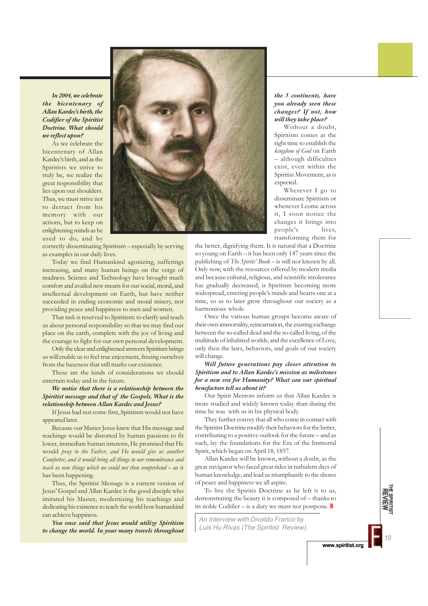#### *In 2004, we celebrate the bicentenary of Allan Kardec's birth, the Codifier of the Spiritist Doctrine. What should we reflect upon?*

As we celebrate the bicentenary of Allan Kardec's birth, and as the Spiritists we strive to truly be, we realize the great responsibility that lies upon our shoulders. Thus, we must strive not to detract from his memory with our actions, but to keep on enlightening minds as he used to do, and by

correctly disseminating Spiritism – especially by serving as examples in our daily lives.

Today we find Humankind agonizing, sufferings increasing, and many human beings on the verge of madness. Science and Technology have brought much comfort and availed new means for our social, moral, and intellectual development on Earth, but have neither succeeded in ending economic and moral misery, nor providing peace and happiness to men and women.

That task is reserved to Spiritism: to clarify and teach us about personal responsibility so that we may find our place on the earth, complete with the joy of living and the courage to fight for our own personal development.

Only the clear and enlightened answers Spiritism brings us will enable us to feel true enjoyment, freeing ourselves from the baseness that still marks our existence.

These are the kinds of considerations we should entertain today and in the future.

#### *We notice that there is a relationship between the Spiritist message and that of the Gospels. What is the relationship between Allan Kardec and Jesus?*

If Jesus had not come first, Spiritism would not have appeared later.

Because our Master Jesus knew that His message and teachings would be distorted by human passions to fit lower, immediate human interests, He promised that He would *pray to the Father, and He would give us another Comforter, and it would bring all things to our remembrance and teach us new things which we could not then comprehend* – as it has been happening.

Thus, the Spiritist Message is a current version of Jesus' Gospel and Allan Kardec is the good disciple who imitated his Master, modernizing his teachings and dedicating his existence to teach the world how humankind can achieve happiness.

*You once said that Jesus would utilize Spiritism to change the world. In your many travels throughout*



#### *the 5 continents, have you already seen these changes? If not, how will they take place?*

Without a doubt, Spiritism comes at the right time to establish the *kingdom of God* on Earth – although difficulties exist, even within the Spiritist Movement, as is expected.

Wherever I go to disseminate Spiritism or whenever I come across it, I soon notice the changes it brings into people's lives, transforming them for

the better, dignifying them. It is natural that a Doctrine so young on Earth – it has been only 147 years since the publishing of *The Spirits' Book* – is still not known by all. Only now, with the resources offered by modern media and because cultural, religious, and scientific intolerance has gradually decreased, is Spiritism becoming more widespread, entering people's minds and hearts one at a time, so as to later grow throughout our society as a harmonious whole.

Once the various human groups become aware of their own immortality, reincarnation, the existing exchange between the so-called dead and the so-called living, of the multitude of inhabited worlds, and the excellence of Love, only then the laws, behaviors, and goals of our society will change.

#### *Will future generations pay closer attention to Spiritism and to Allan Kardec's mission as milestones for a new era for Humanity? What can our spiritual benefactors tell us about it?*

Our Spirit Mentors inform us that Allan Kardec is more studied and widely known today than during the time he was with us in his physical body.

They further convey that all who come in contact with the Spiritist Doctrine modify their behaviors for the better, contributing to a positive outlook for the future – and as such, lay the foundations for the Era of the Immortal Spirit, which began on April 18, 1857.

Allan Kardec will be known, without a doubt, as the great navigator who faced great tides in turbulent days of human knowledge, and lead us triumphantly to the shores of peace and happiness we all aspire.

To live the Spiritis Doctrine as he left it to us, demonstrating the beauty it is composed of – thanks to its noble Codifier – is a duty we must not postpone.

An Interview with Divaldo Franco by Luis Hu Rivas (The Spiritist Review).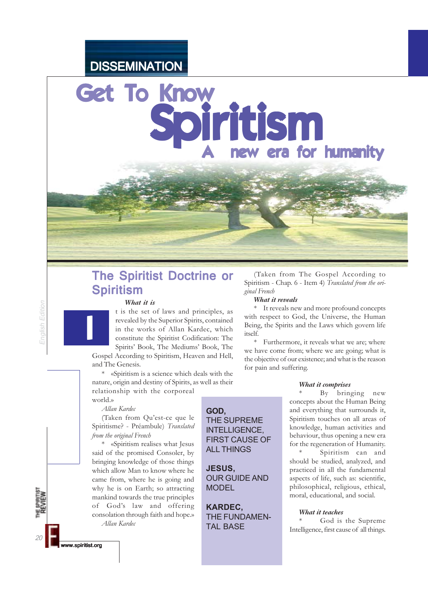# **DISSEMINATION**

**Tism Get To Know** new era for humanity

## **The Spiritist Doctrine or** Spiritism

#### *What it is*

t is the set of laws and principles, as revealed by the Superior Spirits, contained in the works of Allan Kardec, which constitute the Spiritist Codification: The Spirits' Book, The Mediums' Book, The

**GOD,**

**JESUS,**

**MODEL** 

**KARDEC,**

TAL BASE

THE SUPREME INTELLIGENCE, FIRST CAUSE OF ALL THINGS

OUR GUIDE AND

THE FUNDAMEN-

Gospel According to Spiritism, Heaven and Hell, and The Genesis.

\* «Spiritism is a science which deals with the nature, origin and destiny of Spirits, as well as their relationship with the corporeal

world.» *Allan Kardec*

I<br>I

www.spiritist.org

(Taken from Qu'est-ce que le Spiritisme? - Préambule) *Translated from the original French*

\* «Spiritism realises what Jesus said of the promised Consoler, by bringing knowledge of those things which allow Man to know where he came from, where he is going and why he is on Earth; so attracting mankind towards the true principles of God's law and offering consolation through faith and hope.» *Allan Kardec*

(Taken from The Gospel According to Spiritism - Chap. 6 - Item 4) *Translated from the original French*

#### *What it reveals*

\* It reveals new and more profound concepts with respect to God, the Universe, the Human Being, the Spirits and the Laws which govern life itself.

\* Furthermore, it reveals what we are; where we have come from; where we are going; what is the objective of our existence; and what is the reason for pain and suffering.

#### *What it comprises*

By bringing new concepts about the Human Being and everything that surrounds it, Spiritism touches on all areas of knowledge, human activities and behaviour, thus opening a new era for the regeneration of Humanity. Spiritism can and should be studied, analyzed, and practiced in all the fundamental aspects of life, such as: scientific, philosophical, religious, ethical, moral, educational, and social.

#### *What it teaches*

God is the Supreme Intelligence, first cause of all things.

Enalish Edition English Edition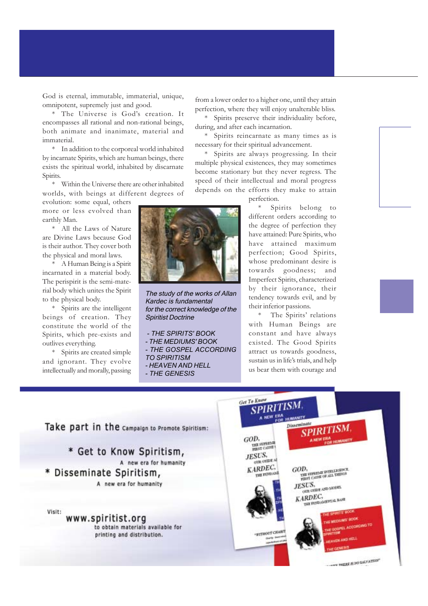God is eternal, immutable, immaterial, unique, omnipotent, supremely just and good.

\* The Universe is God's creation. It encompasses all rational and non-rational beings, both animate and inanimate, material and immaterial.

\* In addition to the corporeal world inhabited by incarnate Spirits, which are human beings, there exists the spiritual world, inhabited by discarnate Spirits.

\* Within the Universe there are other inhabited worlds, with beings at different degrees of

evolution: some equal, others more or less evolved than earthly Man.

\* All the Laws of Nature are Divine Laws because God is their author. They cover both the physical and moral laws.

\* A Human Being is a Spirit incarnated in a material body. The perispirit is the semi-material body which unites the Spirit to the physical body.

\* Spirits are the intelligent beings of creation. They constitute the world of the Spirits, which pre-exists and outlives everything.

\* Spirits are created simple and ignorant. They evolve intellectually and morally, passing

Visit:

The study of the works of Allan Kardec is fundamental for the correct knowledge of the Spiritist Doctrine

 *- THE SPIRITS' BOOK*

*- THE MEDIUMS' BOOK*

*- THE GOSPEL ACCORDING*

*TO SPIRITISM*

*- HEAVEN AND HELL*

*- THE GENESIS*

from a lower order to a higher one, until they attain perfection, where they will enjoy unalterable bliss.

\* Spirits preserve their individuality before, during, and after each incarnation.

\* Spirits reincarnate as many times as is necessary for their spiritual advancement.

\* Spirits are always progressing. In their multiple physical existences, they may sometimes become stationary but they never regress. The speed of their intellectual and moral progress depends on the efforts they make to attain perfection.

Spirits belong to different orders according to the degree of perfection they have attained: Pure Spirits, who have attained maximum perfection; Good Spirits, whose predominant desire is towards goodness; and Imperfect Spirits, characterized by their ignorance, their tendency towards evil, and by their inferior passions.

\* The Spirits' relations with Human Beings are constant and have always existed. The Good Spirits attract us towards goodness, sustain us in life's trials, and help us bear them with courage and



THERE IS NO SALVATION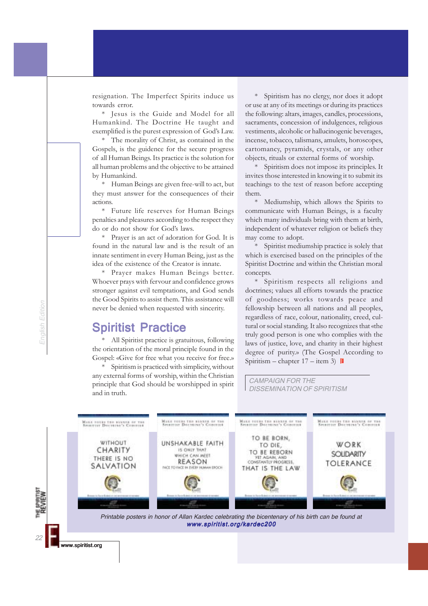resignation. The Imperfect Spirits induce us towards error.

\* Jesus is the Guide and Model for all Humankind. The Doctrine He taught and exemplified is the purest expression of God's Law.

\* The morality of Christ, as contained in the Gospels, is the guidence for the secure progress of all Human Beings. Its practice is the solution for all human problems and the objective to be attained by Humankind.

\* Human Beings are given free-will to act, but they must answer for the consequences of their actions.

\* Future life reserves for Human Beings penalties and pleasures according to the respect they do or do not show for God's laws.

\* Prayer is an act of adoration for God. It is found in the natural law and is the result of an innate sentiment in every Human Being, just as the idea of the existence of the Creator is innate.

\* Prayer makes Human Beings better. Whoever prays with fervour and confidence grows stronger against evil temptations, and God sends the Good Spirits to assist them. This assistance will never be denied when requested with sincerity.

## **Spiritist Practice**

\* All Spiritist practice is gratuitous, following the orientation of the moral principle found in the Gospel: «Give for free what you receive for free.»

\* Spiritism is practiced with simplicity, without any external forms of worship, within the Christian principle that God should be worshipped in spirit and in truth.

Spiritism has no clergy, nor does it adopt or use at any of its meetings or during its practices the following: altars, images, candles, processions, sacraments, concession of indulgences, religious vestiments, alcoholic or hallucinogenic beverages, incense, tobacco, talismans, amulets, horoscopes, cartomancy, pyramids, crystals, or any other objects, rituals or external forms of worship.

\* Spiritism does not impose its principles. It invites those interested in knowing it to submit its teachings to the test of reason before accepting them.

\* Mediumship, which allows the Spirits to communicate with Human Beings, is a faculty which many individuals bring with them at birth, independent of whatever religion or beliefs they may come to adopt.

Spiritist mediumship practice is solely that which is exercised based on the principles of the Spiritist Doctrine and within the Christian moral concepts.

\* Spiritism respects all religions and doctrines; values all efforts towards the practice of goodness; works towards peace and fellowship between all nations and all peoples, regardless of race, colour, nationality, creed, cultural or social standing. It also recognizes that «the truly good person is one who complies with the laws of justice, love, and charity in their highest degree of purity.» (The Gospel According to Spiritism – chapter  $17$  – item 3)

CAMPAIGN FOR THE DISSEMINATION OF SPIRITISM



Printable posters in honor of Allan Kardec celebrating the bicentenary of his birth can be found at www.spiritist.org/kardec200

www.spiritist.org

 $22$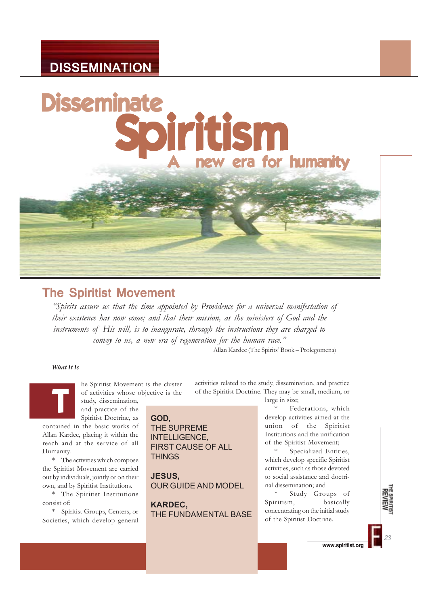# **DISSEMINATION**



## **The Spiritist Movement**

*"Spirits assure us that the time appointed by Providence for a universal manifestation of their existence has now come; and that their mission, as the ministers of God and the instruments of His will, is to inaugurate, through the instructions they are charged to convey to us, a new era of regeneration for the human race."* Allan Kardec (The Spirits' Book – Prolegomena)

#### *What It Is*



he Spiritist Movement is the cluster of activities whose objective is the study, dissemination, and practice of the

Spiritist Doctrine, as contained in the basic works of Allan Kardec, placing it within the reach and at the service of all Humanity.

\* The activities which compose the Spiritist Movement are carried out by individuals, jointly or on their own, and by Spiritist Institutions.

\* The Spiritist Institutions consist of:

\* Spiritist Groups, Centers, or Societies, which develop general

activities related to the study, dissemination, and practice of the Spiritist Doctrine. They may be small, medium, or large in size;

**GOD,** THE SUPREME INTELLIGENCE, FIRST CAUSE OF ALL **THINGS** 

**JESUS,** OUR GUIDE AND MODEL

**KARDEC,** THE FUNDAMENTAL BASE

Federations, which develop activities aimed at the union of the Spiritist Institutions and the unification of the Spiritist Movement;

Specialized Entities, which develop specific Spiritist activities, such as those devoted to social assistance and doctrinal dissemination; and

Study Groups of Spiritism, basically concentrating on the initial study of the Spiritist Doctrine.

www.spiritist.org

**HESVIEW**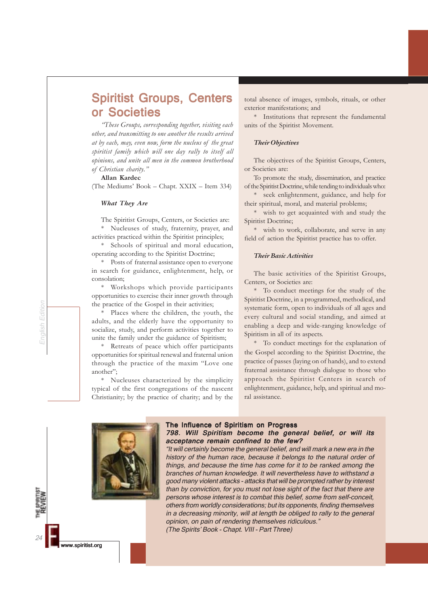## **Spiritist Groups, Centers** or Societies

*"These Groups, corresponding together, visiting each other, and transmitting to one another the results arrived at by each, may, even now, form the nucleus of the great spiritist family which will one day rally to itself all opinions, and unite all men in the common brotherhood of Christian charity."*

**Allan Kardec**

(The Mediums' Book – Chapt. XXIX – Item 334)

#### *What They Are*

The Spiritist Groups, Centers, or Societies are: \* Nucleuses of study, fraternity, prayer, and

activities practiced within the Spiritist principles; \* Schools of spiritual and moral education,

operating according to the Spiritist Doctrine;

\* Posts of fraternal assistance open to everyone in search for guidance, enlightenment, help, or consolation;

\* Workshops which provide participants opportunities to exercise their inner growth through the practice of the Gospel in their activities;

\* Places where the children, the youth, the adults, and the elderly have the opportunity to socialize, study, and perform activities together to unite the family under the guidance of Spiritism;

\* Retreats of peace which offer participants opportunities for spiritual renewal and fraternal union through the practice of the maxim "Love one another";

\* Nucleuses characterized by the simplicity typical of the first congregations of the nascent Christianity; by the practice of charity; and by the

total absence of images, symbols, rituals, or other exterior manifestations; and

\* Institutions that represent the fundamental units of the Spiritist Movement.

#### *Their Objectives*

The objectives of the Spiritist Groups, Centers, or Societies are:

To promote the study, dissemination, and practice of the Spiritist Doctrine, while tending to individuals who:

\* seek enlightenment, guidance, and help for their spiritual, moral, and material problems;

\* wish to get acquainted with and study the Spiritist Doctrine;

\* wish to work, collaborate, and serve in any field of action the Spiritist practice has to offer.

#### *Their Basic Activities*

The basic activities of the Spiritist Groups, Centers, or Societies are:

\* To conduct meetings for the study of the Spiritist Doctrine, in a programmed, methodical, and systematic form, open to individuals of all ages and every cultural and social standing, and aimed at enabling a deep and wide-ranging knowledge of Spiritism in all of its aspects.

\* To conduct meetings for the explanation of the Gospel according to the Spiritist Doctrine, the practice of passes (laying on of hands), and to extend fraternal assistance through dialogue to those who approach the Spiritist Centers in search of enlightenment, guidance, help, and spiritual and moral assistance.



### The Influence of Spiritism on Progress

798. Will Spiritism become the general belief, or will its acceptance remain confined to the few?

"It will certainly become the general belief, and will mark a new era in the history of the human race, because it belongs to the natural order of things, and because the time has come for it to be ranked among the branches of human knowledge. It will nevertheless have to withstand a good many violent attacks - attacks that will be prompted rather by interest than by conviction, for you must not lose sight of the fact that there are persons whose interest is to combat this belief, some from self-conceit, others from worldly considerations; but its opponents, finding themselves in a decreasing minority, will at length be obliged to rally to the general opinion, on pain of rendering themselves ridiculous." (The Spirits' Book - Chapt. VIII - Part Three)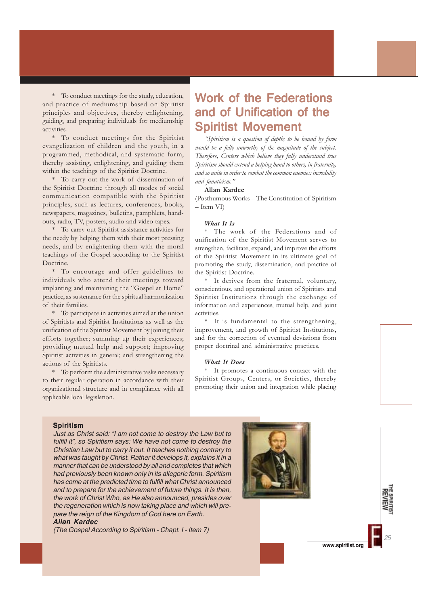\* To conduct meetings for the study, education, and practice of mediumship based on Spiritist principles and objectives, thereby enlightening, guiding, and preparing individuals for mediumship activities.

\* To conduct meetings for the Spiritist evangelization of children and the youth, in a programmed, methodical, and systematic form, thereby assisting, enlightening, and guiding them within the teachings of the Spiritist Doctrine.

\* To carry out the work of dissemination of the Spiritist Doctrine through all modes of social communication compatible with the Spiritist principles, such as lectures, conferences, books, newspapers, magazines, bulletins, pamphlets, handouts, radio, TV, posters, audio and video tapes.

\* To carry out Spiritist assistance activities for the needy by helping them with their most pressing needs, and by enlightening them with the moral teachings of the Gospel according to the Spiritist Doctrine.

\* To encourage and offer guidelines to individuals who attend their meetings toward implanting and maintaining the "Gospel at Home" practice, as sustenance for the spiritual harmonization of their families.

\* To participate in activities aimed at the union of Spiritists and Spiritist Institutions as well as the unification of the Spiritist Movement by joining their efforts together; summing up their experiences; providing mutual help and support; improving Spiritist activities in general; and strengthening the actions of the Spiritists.

\* To perform the administrative tasks necessary to their regular operation in accordance with their organizational structure and in compliance with all applicable local legislation.

# Work of the Federations and of Unification of the **Spiritist Movement**

*"Spiritism is a question of depth; to be bound by form would be a folly unworthy of the magnitude of the subject. Therefore, Centers which believe they fully understand true Spiritism should extend a helping hand to others, in fraternity, and so unite in order to combat the common enemies: incredulity and fanaticism."*

#### **Allan Kardec**

(Posthumous Works – The Constitution of Spiritism – Item VI)

#### *What It Is*

\* The work of the Federations and of unification of the Spiritist Movement serves to strengthen, facilitate, expand, and improve the efforts of the Spiritist Movement in its ultimate goal of promoting the study, dissemination, and practice of the Spiritist Doctrine.

\* It derives from the fraternal, voluntary, conscientious, and operational union of Spiritists and Spiritist Institutions through the exchange of information and experiences, mutual help, and joint activities.

\* It is fundamental to the strengthening, improvement, and growth of Spiritist Institutions, and for the correction of eventual deviations from proper doctrinal and administrative practices.

#### *What It Does*

\* It promotes a continuous contact with the Spiritist Groups, Centers, or Societies, thereby promoting their union and integration while placing

#### Spiritism

Just as Christ said: "I am not come to destroy the Law but to fulfill it", so Spiritism says: We have not come to destroy the Christian Law but to carry it out. It teaches nothing contrary to what was taught by Christ. Rather it develops it, explains it in a manner that can be understood by all and completes that which had previously been known only in its allegoric form. Spiritism has come at the predicted time to fulfill what Christ announced and to prepare for the achievement of future things. It is then, the work of Christ Who, as He also announced, presides over the regeneration which is now taking place and which will prepare the reign of the Kingdom of God here on Earth.

#### Allan Kardec

(The Gospel According to Spiritism - Chapt. I - Item 7)



www.spiritist.org

 $25$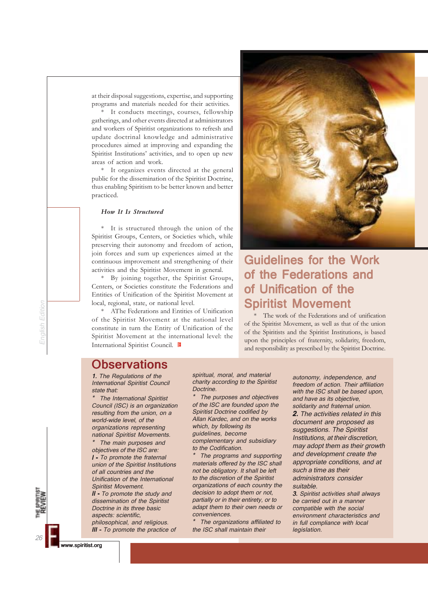at their disposal suggestions, expertise, and supporting programs and materials needed for their activities.

<sup>t</sup> It conducts meetings, courses, fellowship gatherings, and other events directed at administrators and workers of Spiritist organizations to refresh and update doctrinal knowledge and administrative procedures aimed at improving and expanding the Spiritist Institutions' activities, and to open up new areas of action and work.

\* It organizes events directed at the general public for the dissemination of the Spiritist Doctrine, thus enabling Spiritism to be better known and better practiced.

#### *How It Is Structured*

\* It is structured through the union of the Spiritist Groups, Centers, or Societies which, while preserving their autonomy and freedom of action, join forces and sum up experiences aimed at the continuous improvement and strengthening of their activities and the Spiritist Movement in general.

\* By joining together, the Spiritist Groups, Centers, or Societies constitute the Federations and Entities of Unification of the Spiritist Movement at local, regional, state, or national level.

\* AThe Federations and Entities of Unification of the Spiritist Movement at the national level constitute in turn the Entity of Unification of the Spiritist Movement at the international level: the International Spiritist Council.



# Guidelines for the Work of the Federations and of Unification of the **Spiritist Movement**

The work of the Federations and of unification of the Spiritist Movement, as well as that of the union of the Spiritists and the Spiritist Institutions, is based upon the principles of fraternity, solidarity, freedom, and responsibility as prescribed by the Spiritist Doctrine.

### **Observations**

1. The Regulations of the International Spiritist Council state that:

\* The International Spiritist Council (ISC) is an organization resulting from the union, on a world-wide level, of the organizations representing national Spiritist Movements. \*The main purposes and

objectives of the ISC are: I - To promote the fraternal union of the Spiritist Institutions of all countries and the Unification of the International

Spiritist Movement.  $II - To$  promote the study and dissemination of the Spiritist Doctrine in its three basic aspects: scientific, philosophical, and religious. III - To promote the practice of spiritual, moral, and material charity according to the Spiritist Doctrine.

\* The purposes and objectives of the ISC are founded upon the Spiritist Doctrine codified by Allan Kardec, and on the works which, by following its guidelines, become complementary and subsidiary to the Codification.

\* The programs and supporting materials offered by the ISC shall not be obligatory. It shall be left to the discretion of the Spiritist organizations of each country the decision to adopt them or not, partially or in their entirety, or to adapt them to their own needs or conveniences.

\* The organizations affiliated to the ISC shall maintain their

autonomy, independence, and freedom of action. Their affiliation with the ISC shall be based upon, and have as its objective, solidarity and fraternal union. 2. The activities related in this document are proposed as suggestions. The Spiritist Institutions, at their discretion, may adopt them as their growth and development create the appropriate conditions, and at such a time as their administrators consider suitable.

3. Spiritist activities shall always be carried out in a manner compatible with the social environment characteristics and in full compliance with local legislation.

Fdition English Edition Fnalish

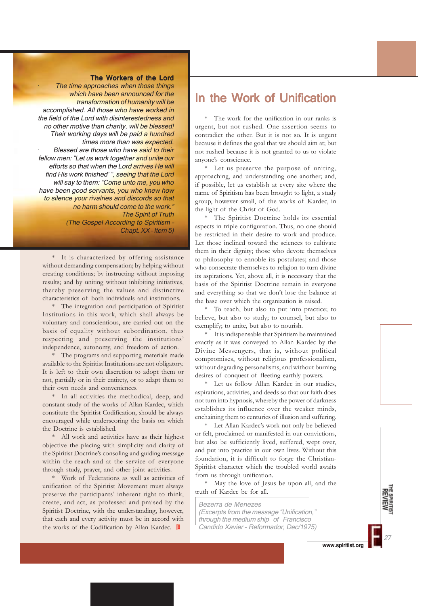#### The Workers of the Lord

 The time approaches when those things which have been announced for the transformation of humanity will be accomplished. All those who have worked in the field of the Lord with disinterestedness and no other motive than charity, will be blessed! Their working days will be paid a hundred times more than was expected. Blessed are those who have said to their fellow men: "Let us work together and unite our efforts so that when the Lord arrives He will find His work finished'", seeing that the Lord will say to them: "Come unto me, you who have been good servants, you who knew how to silence your rivalries and discords so that no harm should come to the work." The Spirit of Truth (The Gospel According to Spiritism – Chapt. XX – Item 5)

\* It is characterized by offering assistance without demanding compensation; by helping without creating conditions; by instructing without imposing results; and by uniting without inhibiting initiatives, thereby preserving the values and distinctive characteristics of both individuals and institutions.

\* The integration and participation of Spiritist Institutions in this work, which shall always be voluntary and conscientious, are carried out on the basis of equality without subordination, thus respecting and preserving the institutions' independence, autonomy, and freedom of action.

The programs and supporting materials made available to the Spiritist Institutions are not obligatory. It is left to their own discretion to adopt them or not, partially or in their entirety, or to adapt them to their own needs and conveniences.

\* In all activities the methodical, deep, and constant study of the works of Allan Kardec, which constitute the Spiritist Codification, should be always encouraged while underscoring the basis on which the Doctrine is established.

\* All work and activities have as their highest objective the placing with simplicity and clarity of the Spiritist Doctrine's consoling and guiding message within the reach and at the service of everyone through study, prayer, and other joint activities.

\* Work of Federations as well as activities of unification of the Spiritist Movement must always preserve the participants' inherent right to think, create, and act, as professed and praised by the Spiritist Doctrine, with the understanding, however, that each and every activity must be in accord with the works of the Codification by Allan Kardec.

### In the Work of Unification

\* The work for the unification in our ranks is urgent, but not rushed. One assertion seems to contradict the other. But it is not so. It is urgent because it defines the goal that we should aim at; but not rushed because it is not granted to us to violate anyone's conscience.

\* Let us preserve the purpose of uniting, approaching, and understanding one another; and, if possible, let us establish at every site where the name of Spiritism has been brought to light, a study group, however small, of the works of Kardec, in the light of the Christ of God.

\* The Spiritist Doctrine holds its essential aspects in triple configuration. Thus, no one should be restricted in their desire to work and produce. Let those inclined toward the sciences to cultivate them in their dignity; those who devote themselves to philosophy to ennoble its postulates; and those who consecrate themselves to religion to turn divine its aspirations. Yet, above all, it is necessary that the basis of the Spiritist Doctrine remain in everyone and everything so that we don't lose the balance at the base over which the organization is raised.

\* To teach, but also to put into practice; to believe, but also to study; to counsel, but also to exemplify; to unite, but also to nourish.

\* It is indispensable that Spiritism be maintained exactly as it was conveyed to Allan Kardec by the Divine Messengers, that is, without political compromises, without religious professionalism, without degrading personalisms, and without burning desires of conquest of fleeting earthly powers.

\* Let us follow Allan Kardec in our studies, aspirations, activities, and deeds so that our faith does not turn into hypnosis, whereby the power of darkness establishes its influence over the weaker minds, enchaining them to centuries of illusion and suffering.

\* Let Allan Kardec's work not only be believed or felt, proclaimed or manifested in our convictions, but also be sufficiently lived, suffered, wept over, and put into practice in our own lives. Without this foundation, it is difficult to forge the Christian-Spiritist character which the troubled world awaits from us through unification.

\* May the love of Jesus be upon all, and the truth of Kardec be for all.

Bezerra de Menezes (Excerpts from the message "Unification," through the medium ship of Francisco Candido Xavier – Reformador, Dec/1975)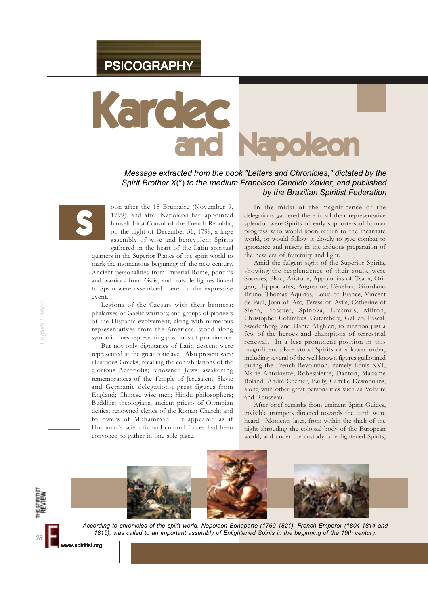# **PSICOGRAPHY**

# Kardec and Napoleon and Napoleon and Napoleon

*Message extracted from the book "Letters and Chronicles," dictated by the Spirit Brother X*(\*) *to the medium Francisco Candido Xavier, and published by the Brazilian Spiritist Federation*

oon after the 18 Brumaire (November 9, 1799), and after Napoleon had appointed himself First-Consul of the French Republic, on the night of December 31, 1799, a large assembly of wise and benevolent Spirits gathered in the heart of the Latin spiritual quarters in the Superior Planes of the spirit world to mark the momentous beginning of the new century. Ancient personalities from imperial Rome, pontiffs and warriors from Galia, and notable figures linked to Spain were assembled there for the expressive event.

Legions of the Caesars with their banners; phalanxes of Gaelic warriors; and groups of pioneers of the Hispanic evolvement, along with numerous representatives from the Americas, stood along symbolic lines representing positions of prominence.

But not only dignitaries of Latin descent were represented at the great conclave. Also present were illustrious Greeks, recalling the confabulations of the glorious Acropolis; renowned Jews, awakening remembrances of the Temple of Jerusalem; Slavic and Germanic delegations; great figures from England; Chinese wise men; Hindu philosophers; Buddhist theologians; ancient priests of Olympian deities; renowned clerics of the Roman Church; and followers of Muhammad. It appeared as if Humanity's scientific and cultural forces had been convoked to gather in one sole place.

oon after the 18 Brumaire (November 9,<br>1799), and after Napoleon had appointed<br>himself First-Consul of the French Republic,<br>on the night of December 31, 1799, a large<br>assembly of wise and benevolent Spirits<br>world, or would delegations gathered there in all their representative splendor were Spirits of early supporters of human progress who would soon return to the incarnate world, or would follow it closely to give combat to ignorance and misery in the arduous preparation of the new era of fraternity and light.

> Amid the fulgent sight of the Superior Spirits, showing the resplendence of their souls, were Socrates, Plato, Aristotle, Appolonius of Tyana, Origen, Hippocrates, Augustine, Fénelon, Giordano Bruno, Thomas Aquinas, Louis of France, Vincent de Paul, Joan of Arc, Teresa of Avila, Catherine of Siena, Bossuet, Spinoza, Erasmus, Milton, Christopher Columbus, Gutemberg, Galileo, Pascal, Swedenborg, and Dante Alighieri, to mention just a few of the heroes and champions of terrestrial renewal. In a less prominent position in this magnificent place stood Spirits of a lower order, including several of the well known figures guillotined during the French Revolution, namely Louis XVI, Marie Antoinette, Robespierre, Danton, Madame Roland, André Chenier, Bailly, Camille Desmoulins, along with other great personalities such as Voltaire and Rousseau.

> After brief remarks from eminent Spirit Guides, invisible trumpets directed towards the earth were heard. Moments later, from within the thick of the night shrouding the colossal body of the European world, and under the custody of enlightened Spirits,



*According to chronicles of the spirit world, Napoleon Bonaparte (1769-1821), French Emperor (1804-1814 and 1815), was called to an important assembly of Enlightened Spirits in the beginning of the 19th century.*

www.spiritist.org

 $20$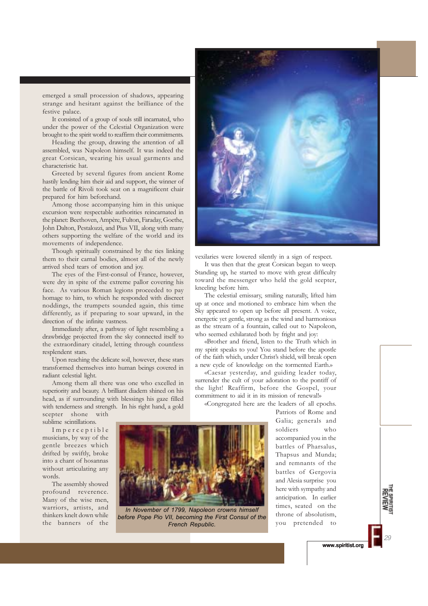emerged a small procession of shadows, appearing strange and hesitant against the brilliance of the festive palace.

It consisted of a group of souls still incarnated, who under the power of the Celestial Organization were brought to the spirit world to reaffirm their commitments.

Heading the group, drawing the attention of all assembled, was Napoleon himself. It was indeed the great Corsican, wearing his usual garments and characteristic hat.

Greeted by several figures from ancient Rome hastily lending him their aid and support, the winner of the battle of Rivoli took seat on a magnificent chair prepared for him beforehand.

Among those accompanying him in this unique excursion were respectable authorities reincarnated in the planet: Beethoven, Ampère, Fulton, Faraday, Goethe, John Dalton, Pestalozzi, and Pius VII, along with many others supporting the welfare of the world and its movements of independence.

Though spiritually constrained by the ties linking them to their carnal bodies, almost all of the newly arrived shed tears of emotion and joy.

The eyes of the First-consul of France, however, were dry in spite of the extreme pallor covering his face. As various Roman legions proceeded to pay homage to him, to which he responded with discreet noddings, the trumpets sounded again, this time differently, as if preparing to soar upward, in the direction of the infinite vastness.

Immediately after, a pathway of light resembling a drawbridge projected from the sky connected itself to the extraordinary citadel, letting through countless resplendent stars.

Upon reaching the delicate soil, however, these stars transformed themselves into human beings covered in radiant celestial light.

Among them all there was one who excelled in superiority and beauty. A brilliant diadem shined on his head, as if surrounding with blessings his gaze filled with tenderness and strength. In his right hand, a gold scepter shone with

sublime scintillations.

Imperceptible musicians, by way of the gentle breezes which drifted by swiftly, broke into a chant of hosannas without articulating any words.

The assembly showed profound reverence. Many of the wise men, warriors, artists, and thinkers knelt down while the banners of the



*In November of 1799, Napoleon crowns himself before Pope Pio VII, becoming the First Consul of the French Republic.*



vexilaries were lowered silently in a sign of respect.

It was then that the great Corsican began to weep. Standing up, he started to move with great difficulty toward the messenger who held the gold scepter, kneeling before him.

The celestial emissary, smiling naturally, lifted him up at once and motioned to embrace him when the Sky appeared to open up before all present. A voice, energetic yet gentle, strong as the wind and harmonious as the stream of a fountain, called out to Napoleon, who seemed exhilarated both by fright and joy:

«Brother and friend, listen to the Truth which in my spirit speaks to you! You stand before the apostle of the faith which, under Christ's shield, will break open a new cycle of knowledge on the tormented Earth.»

«Caesar yesterday, and guiding leader today, surrender the cult of your adoration to the pontiff of the light! Reaffirm, before the Gospel, your commitment to aid it in its mission of renewal!»

«Congregated here are the leaders of all epochs.

Patriots of Rome and Galia; generals and soldiers who accompanied you in the battles of Pharsalus, Thapsus and Munda; and remnants of the battles of Gergovia and Alesia surprise you here with sympathy and anticipation. In earlier times, seated on the throne of absolutism, you pretended to

www.spiritist.org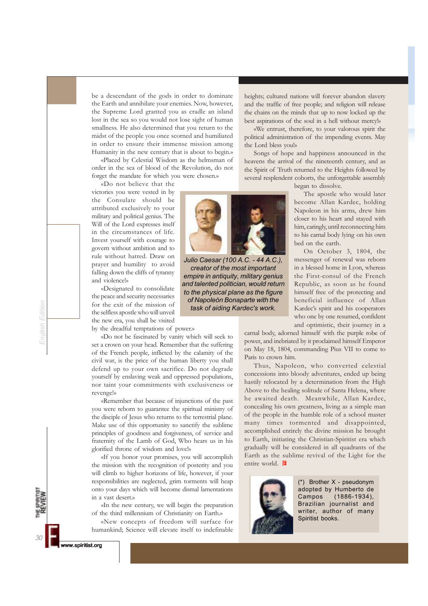be a descendant of the gods in order to dominate the Earth and annihilate your enemies. Now, however, the Supreme Lord granted you as cradle an island lost in the sea so you would not lose sight of human smallness. He also determined that you return to the midst of the people you once scorned and humiliated in order to ensure their immense mission among Humanity in the new century that is about to begin.»

«Placed by Celestial Wisdom as the helmsman of order in the sea of blood of the Revolution, do not forget the mandate for which you were chosen.»

«Do not believe that the victories you were vested in by the Consulate should be attributed exclusively to your military and political genius. The Will of the Lord expresses itself in the circumstances of life. Invest yourself with courage to govern without ambition and to rule without hatred. Draw on prayer and humility to avoid falling down the cliffs of tyranny and violence!»

«Designated to consolidate the peace and security necessaries for the exit of the mission of the selfless apostle who will unveil the new era, you shall be visited

by the dreadful temptations of power.»

«Do not be fascinated by vanity which will seek to set a crown on your head. Remember that the suffering of the French people, inflicted by the calamity of the civil war, is the price of the human liberty you shall defend up to your own sacrifice. Do not degrade yourself by enslaving weak and oppressed populations, nor taint your commitments with exclusiveness or revenge!»

«Remember that because of injunctions of the past you were reborn to guarantee the spiritual ministry of the disciple of Jesus who returns to the terrestrial plane. Make use of this opportunity to sanctify the sublime principles of goodness and forgiveness, of service and fraternity of the Lamb of God, Who hears us in his glorified throne of wisdom and love!»

«If you honor your promises, you will accomplish the mission with the recognition of posterity and you will climb to higher horizons of life, however, if your responsibilities are neglected, grim torments will heap onto your days which will become dismal lamentations in a vast desert.»

«In the new century, we will begin the preparation of the third millennium of Christianity on Earth.»

«New concepts of freedom will surface for humankind; Science will elevate itself to indefinable

heights; cultured nations will forever abandon slavery and the traffic of free people; and religion will release the chains on the minds that up to now locked up the best aspirations of the soul in a hell without mercy!»

«We entrust, therefore, to your valorous spirit the political administration of the impending events. May the Lord bless you!»

Songs of hope and happiness announced in the heavens the arrival of the nineteenth century, and as the Spirit of Truth returned to the Heights followed by several resplendent cohorts, the unforgettable assembly

began to dissolve.

The apostle who would later become Allan Kardec, holding Napoleon in his arms, drew him closer to his heart and stayed with him, caringly, until reconnecting him to his carnal body lying on his own bed on the earth.

On October 3, 1804, the messenger of renewal was reborn in a blessed home in Lyon, whereas the First-consul of the French Republic, as soon as he found himself free of the protecting and beneficial influence of Allan Kardec's spirit and his cooperators who one by one resumed, confident and optimistic, their journey in a

carnal body, adorned himself with the purple robe of power, and inebriated by it proclaimed himself Emperor on May 18, 1804, commanding Pius VII to come to Paris to crown him.

Thus, Napoleon, who converted celestial concessions into bloody adventures, ended up being hastily relocated by a determination from the High Above to the healing solitude of Santa Helena, where he awaited death. Meanwhile, Allan Kardec, concealing his own greatness, living as a simple man of the people in the humble role of a school master many times tormented and disappointed, accomplished entirely the divine mission he brought to Earth, initiating the Christian-Spiritist era which gradually will be considered in all quadrants of the Earth as the sublime revival of the Light for the entire world.



*Julio Caesar (100 A.C. - 44 A.C.), creator of the most important empire in antiquity, military genius and talented politician, would return to the physical plane as the figure of Napoleón Bonaparte with the task of aiding Kardec's work.*

> (\*) Brother X - pseudonym adopted by Humberto de Campos (1886-1934), Brazilian journalist and writer, author of many Spiritist books.

Edition English Edition Enalish

30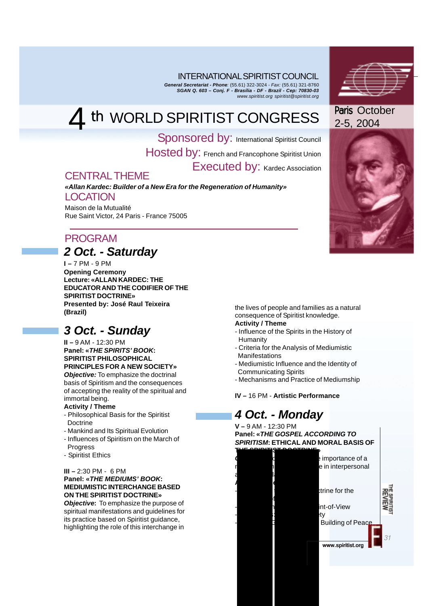#### INTERNATIONAL SPIRITIST COUNCIL

*General Secretariat - Phone:* (55.61) 322-3024 *- Fax:* (55.61) 321-8760 *SGAN Q. 603 – Conj. F - Brasília - DF - Brazil - Cep: 70830-03 www.spiritist.org spiritist@spiritist.org*

# 4 th WORLD SPIRITIST CONGRESS Paris October

Sponsored by: International Spiritist Council Hosted by: French and Francophone Spiritist Union Executed by: Kardec Association

### CENTRAL THEME

*«Allan Kardec: Builder of a New Era for the Regeneration of Humanity»* LOCATION Maison de la Mutualité Rue Saint Victor, 24 Paris - France 75005

## PROGRAM

## *2 Oct. - Saturday*

**I –** 7 PM - 9 PM **Opening Ceremony Lecture: «ALLAN KARDEC: THE EDUCATOR AND THE CODIFIER OF THE SPIRITIST DOCTRINE» Presented by: José Raul Teixeira (Brazil)**

## *3 Oct. - Sunday*

**II –** 9 AM - 12:30 PM **Panel: «***THE SPIRITS' BOOK***: SPIRITIST PHILOSOPHICAL PRINCIPLES FOR A NEW SOCIETY»**

**Objective:** To emphasize the doctrinal basis of Spiritism and the consequences of accepting the reality of the spiritual and immortal being.

#### **Activity / Theme**

- Philosophical Basis for the Spiritist Doctrine
- Mankind and Its Spiritual Evolution
- Influences of Spiritism on the March of Progress
- Spiritist Ethics

**III –** 2:30 PM - 6 PM

#### **Panel: «***THE MEDIUMS' BOOK***: MEDIUMISTIC INTERCHANGE BASED ON THE SPIRITIST DOCTRINE»**

*Objective***:** To emphasize the purpose of spiritual manifestations and guidelines for its practice based on Spiritist guidance. highlighting the role of this interchange in

the lives of people and families as a natural consequence of Spiritist knowledge.

#### **Activity / Theme**

- Influence of the Spirits in the History of Humanity
- Criteria for the Analysis of Mediumistic **Manifestations**
- Mediumistic Influence and the Identity of Communicating Spirits
- Mechanisms and Practice of Mediumship

**IV –** 16 PM - **Artistic Performance**

## *4 Oct. - Monday*

**V –** 9 AM - 12:30 PM **Panel: «***THE GOSPEL ACCORDING TO SPIRITISM***: ETHICAL AND MORAL BASIS OF**





2-5, 2004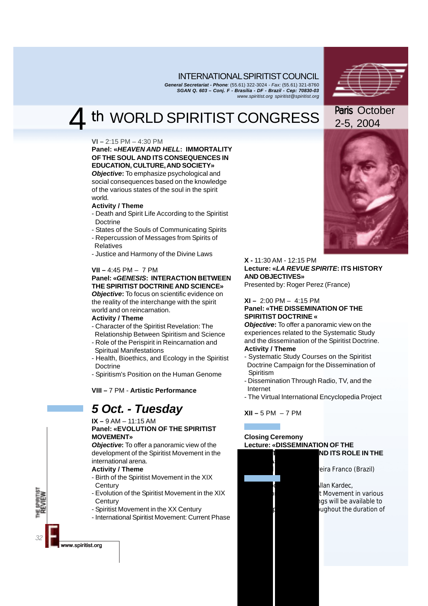#### INTERNATIONAL SPIRITIST COUNCIL

*General Secretariat - Phone:* (55.61) 322-3024 *- Fax:* (55.61) 321-8760 *SGAN Q. 603 – Conj. F - Brasília - DF - Brazil - Cep: 70830-03 www.spiritist.org spiritist@spiritist.org*



# WORLD SPIRITIST CONGRESS  $\frac{4}{2}$  th WORLD SPIRITIST CONGRESS  $\frac{P\text{aris October}}{2.5, 2004}$

#### **VI –** 2:15 PM – 4:30 PM

**Panel: «***HEAVEN AND HELL***: IMMORTALITY OF THE SOUL AND ITS CONSEQUENCES IN EDUCATION, CULTURE, AND SOCIETY»**

*Objective:* To emphasize psychological and social consequences based on the knowledge of the various states of the soul in the spirit world.

#### **Activity / Theme**

- Death and Spirit Life According to the Spiritist Doctrine
- States of the Souls of Communicating Spirits
- Repercussion of Messages from Spirits of Relatives
- Justice and Harmony of the Divine Laws

#### **VII –** 4:45 PM – 7 PM

#### **Panel: «***GENESIS***: INTERACTION BETWEEN THE SPIRITIST DOCTRINE AND SCIENCE»**

**Objective:** To focus on scientific evidence on the reality of the interchange with the spirit world and on reincarnation.

#### **Activity / Theme**

- Character of the Spiritist Revelation: The Relationship Between Spiritism and Science
- Role of the Perispirit in Reincarnation and Spiritual Manifestations
- Health, Bioethics, and Ecology in the Spiritist Doctrine
- Spiritism's Position on the Human Genome

**VIII –** 7 PM - **Artistic Performance**

## *5 Oct. - Tuesday*

#### **IX –** 9 AM – 11:15 AM

**Panel: «EVOLUTION OF THE SPIRITIST MOVEMENT»**

*Objective***:** To offer a panoramic view of the development of the Spiritist Movement in the international arena.

#### **Activity / Theme**

- Birth of the Spiritist Movement in the XIX **Century**
- Evolution of the Spiritist Movement in the XIX **Century**
- Spiritist Movement in the XX Century
- International Spiritist Movement: Current Phase

#### **X -** 11:30 AM - 12:15 PM

**Lecture: «***LA REVUE SPIRITE***: ITS HISTORY AND OBJECTIVES»**

Presented by: Roger Perez (France)

#### **XI –** 2:00 PM – 4:15 PM **Panel: «THE DISSEMINATION OF THE SPIRITIST DOCTRINE «**

*Objective***:** To offer a panoramic view on the experiences related to the Systematic Study and the dissemination of the Spiritist Doctrine. **Activity / Theme**

- Systematic Study Courses on the Spiritist Doctrine Campaign for the Dissemination of Spiritism
- Dissemination Through Radio, TV, and the Internet
- The Virtual International Encyclopedia Project

#### **XII –** 5 PM – 7 PM

#### **Closing Ceremony Lecture: «DISSEMINATION OF THE**

**ND ITS ROLE IN THE NEW ERA»** eira Franco (Brazil) **Illan Kardec,** t Movement in various as will be available to ughout the duration of the event.



 $2<sub>2</sub>$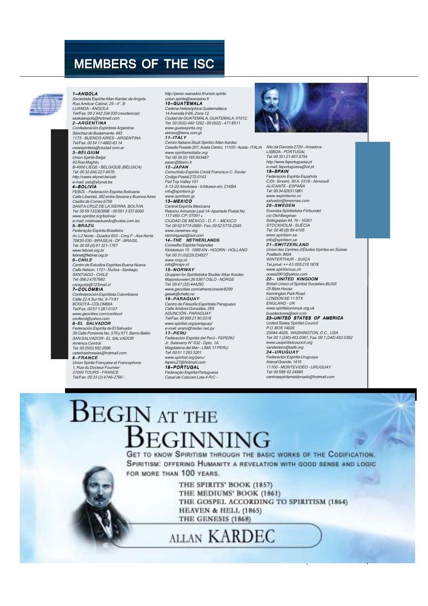# MEMBERS OF THE ISC

#### 1—ANGOLA

Sociedade Espírita Allan Kardec de Angola Rua Amilcar Cabral, 29 - 4°. B LUANDA - ANGOLA Tel/Fax: 00 2 442 334 030 (residencial) seakaangola@hotmail.com

#### 2-ARGENTINA Confederación Espiritista Argentina

Sánchez de Bustamante, 463 1173 - BUENOS AIRES - ARGENTINA Tel/Fax: 00 54 11 4862-63 14 ceaespiritista@ciudad.com.ar

3—BELGIUM Union Spirite Belge 43 Rue Maghin, B-4000 LIEGE - BELGIQUE (BÉLGICA) Tel: 00 32 (04) 227-6076

http://users.skynet.be/usb e-mail: usb@skynet.be 4—BOLIVIA FEBOL - Federación Espírita Boliviana Calle Libertad, 382 entre Seoane y Buenos Aires Casilla de Correo 6756 SANTA CRUZ DE LA SIERRA, BOLÍVIA Tel: 00 59 133363998 - 00 591 3 337.6060 www.spiritist.org/bolivia/ e-mail: cristinaeduardo@cotas.com.bo

 $5 - BRAZIL$ Federação Espírita Brasileira Av.L2 Norte - Quadra 603 - Conj.F - Asa Norte 70830-030 – BRASÍLIA - DF - BRASIL Tel: 00 55 (0) 61 321-1767 www.febnet.org.br

febnet@febnet.org.br  $6 - CHII$ Centro de Estudios Espíritas Buena Nueva Calle Nelson, 1721 – Ñuñoa – Santiago. SANTIAGO - CHILE Tel: 056 2 4757560.

...\_<br>uila@123mail.cl **7-COLOMBIA** Confederación Espiritista Colombiana Calle 22 A Sur No. 9-71/81 BOGOTÁ—COLOMBIA Tel/Fax: 00 57 1 287-0107 www.geocities.com/confecol

### confecol@yahoo.com<br>**8—EL SALVADOR**

Federación Espírita de El Salvador 39 Calle Poniente No. 579 y 571, Barrio Belén SAN SALVADOR - EL SALVADOR América Central Tel. 00 (503) 502 2596 sias@hotmail.com

#### 9—FRANCE

Union Spirite Française et Francophone 1, Rue du Docteur Fournier 37000 TOURS - FRANCE Tel/Fax: 00 33 (2) 4746-2790 -

http://perso.wanadoo.fr/union.spirite .<br>spirite@wanadoo.fr 10—GUATEMALA

Cadena Heliosóphica Guatemalteca 14 Avenida 9-66, Zona 12. Ciudad de GUATEMALA, GUATEMALA. 01012. Tel. 00 (502) 440 1292 - 00 (502) - 471 8511 www.guatespirita.org ebrace<br>o@terra.com.gt

#### $11 - ITALY$

Centro Italiano Studi Spiritici Allan Kardec<br>Casella Postale 207, Aosta Centro, 11100 - Aosta - ITALIA Alto da Damaia 2720 - Amadora www.spiritismoitalia.org Tel: 00 39 (0) 165 903487 .<br>ero.it

12—JAPAN Comunhão Espírita Cristã Francisco C. Xavier Codigo Postal 272-0143 Flat Top Valley 101 3-13-20 Ainokawa - Ichikawa-shi, CHIBA info@spiritism.jp

www.spiritism.jp  $13-MEXICO$ Central Espírita Mexicana Retorno Armando Leal 14- Apartado Postal No. 117-060. CP. 07091 - CIUDAD DE MÉXICO - D. F. - MEXICO Tel: 00 52 5715-0660 - Fax: 00 52 5715-2545

www.cenemex.org idominguezl@aol.com 14-THE NETHERLANDS Conselho Espírita Holandes Klokketuin 15 1689 KN - HOORN - HOLLAND Tel: 00 31 (0)229 234527 www.nrsp.nl info@nrspv.nl

15—NORWAY Gruppen for Spiritistiske Studier Allan Kardec Majorstuveien 26 0367 OSLO - NORGE Tel. 00 47 (22) 444293 www.geocities.com/athens/oracle/8299

geeak@chello.no<br>**16-PARAGUAY** Centro de Filosofía Espiritista Paraguayo Calle Amânio Gonzáles, 265 ASUNCIÓN – PARAGUAY Tel/Fax: 00 595 21 90.0318 www.spiritist.org/paraguay/

#### e-mail: arami@rieder.net.py 17—PERU

Federación Espírita del Perú - FEPERÚ Jr. Salaverry N° 632 - Dpto. 1A. Magdalena del Mar - LIMA 17 PERU Tef: 00 51 1 263 3201 www.spiritist.org/peru/<br>feperu27@hotmail.com feneru27@hotr

#### 18-PORTUGAL Federação Espírita Portuguesa

Casal de Cascais Lote 4 R/C -



LISBOA - PORTUGAL Tel: 00 351 21 497-5754 http://www.feportuguesa.pt

#### e-mail: feportuguesa@iol.pt 19—SPAIN

Federación Espírita Española C/Dr. Sirvent, 36 A. 0316 - Almoradí ALICANTE - ESPAÑA Tel: 00 34 626311881 www.espiritismo.cc xalvador@eresmas.com

20—SWEDEN Svenska Spiritistiska Förbundet c/o Olof Bergman Sotingeplan 44, 1tr - 16361 STOCKHOLM - SUÉCIA

Tel: 00 46 (8) 89-4105 www.spiritism.se info@spiritism.se 21-SWITZERLAND Union des Centres d'Études Spirites en Suisse Postfach: 8404 WINTERTHUR - SUIÇA

Tel.privé: ++ 41/ 055 210 1878 www.spiritismus.ch ucess2001@yahoo.com 22- UNITED KINGDOM

British Union of Spiritist Societies-BUSS 25 Blyte House

Kennington Park Road LONDON SE 11 5TX ENGLAND - UK

www.spiritistunionuk.org.uk<br>busslectures@aol.com<br>**23–UNITED STATES OF AMERICA** 

# United States Spiritist Council P.O .BOX 14026

20044-4026, WASHINGTON, D.C., USA Tel: 00 1 (240) 453.0361, Fax: 00 1 (240) 453.0362 www.usspiritistcouncil.org

#### na.<br>@iadb.org 24—URUGUAY Federación Espírita Uruguaya Arenal Grande, 1415

11100 - MONTEVIDÉO - URUGUAY Tel: 00 598 62 24980 centroespiritamaldonado@hotmail.com



GET TO KNOW SPIRITISM THROUGH THE BASIC WORKS OF THE CODIFICATION. SPIRITISM: OFFERING HUMANITY A REVELATION WITH GOOD SENSE AND LOGIC FOR MORE THAN 100 YEARS.

**ALLAN KARDEC** 

THE SPIRITS' BOOK (1857) THE MEDIUMS' BOOK (1861) THE GOSPEL ACCORDING TO SPIRITISM (1864) **HEAVEN & HELL (1865) THE GENESIS (1868)**